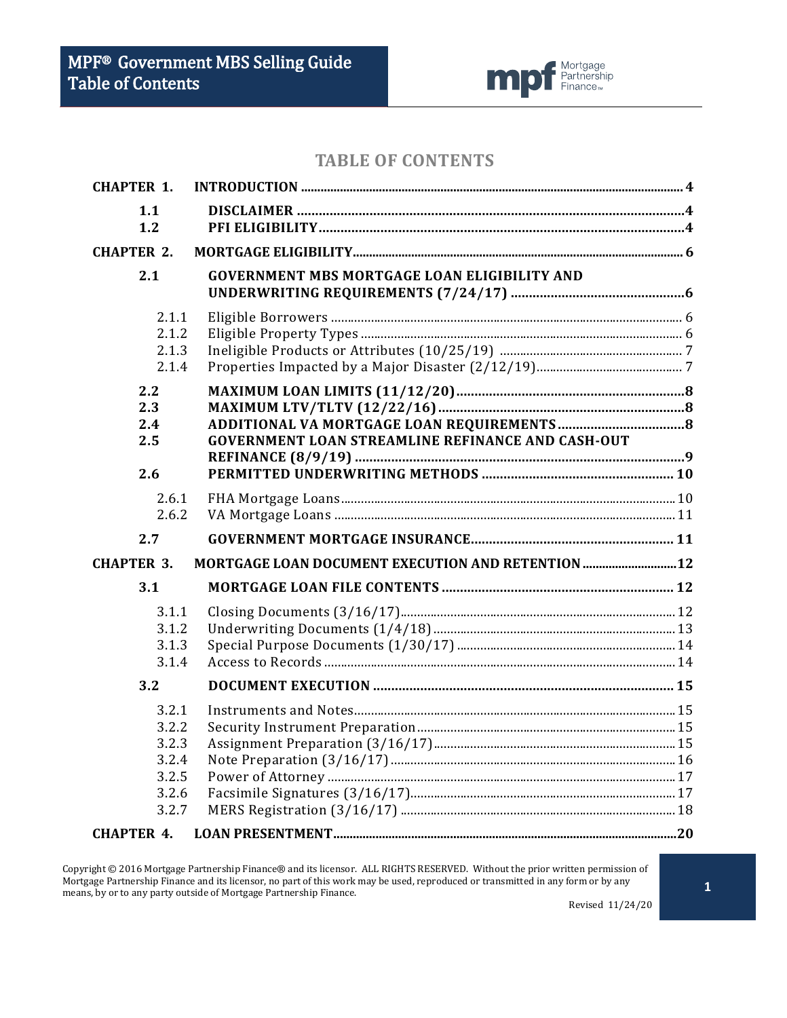

# **TABLE OF CONTENTS**

| <b>CHAPTER 1.</b>                                           |                                                          |  |
|-------------------------------------------------------------|----------------------------------------------------------|--|
| 1.1<br>1.2                                                  |                                                          |  |
| <b>CHAPTER 2.</b>                                           |                                                          |  |
| 2.1                                                         | <b>GOVERNMENT MBS MORTGAGE LOAN ELIGIBILITY AND</b>      |  |
| 2.1.1<br>2.1.2<br>2.1.3<br>2.1.4                            |                                                          |  |
| 2.2<br>2.3<br>2.4<br>2.5<br>2.6                             | <b>GOVERNMENT LOAN STREAMLINE REFINANCE AND CASH-OUT</b> |  |
| 2.6.1<br>2.6.2<br>2.7                                       |                                                          |  |
|                                                             |                                                          |  |
| <b>CHAPTER 3.</b>                                           | MORTGAGE LOAN DOCUMENT EXECUTION AND RETENTION 12        |  |
| 3.1                                                         |                                                          |  |
| 3.1.1<br>3.1.2<br>3.1.3<br>3.1.4                            |                                                          |  |
| 3.2                                                         |                                                          |  |
| 3.2.1<br>3.2.2<br>3.2.3<br>3.2.4<br>3.2.5<br>3.2.6<br>3.2.7 |                                                          |  |
| <b>CHAPTER 4.</b>                                           |                                                          |  |

Copyright © 2016 Mortgage Partnership Finance® and its licensor. ALL RIGHTS RESERVED. Without the prior written permission of Mortgage Partnership Finance and its licensor, no part of this work may be used, reproduced or transmitted in any form or by any Mortgage Partnership Finance and its licensor, no part of this work may be used, reproduced o means, by or to any party outside of Mortgage Partnership Finance.

Revised 11/24/20

**1**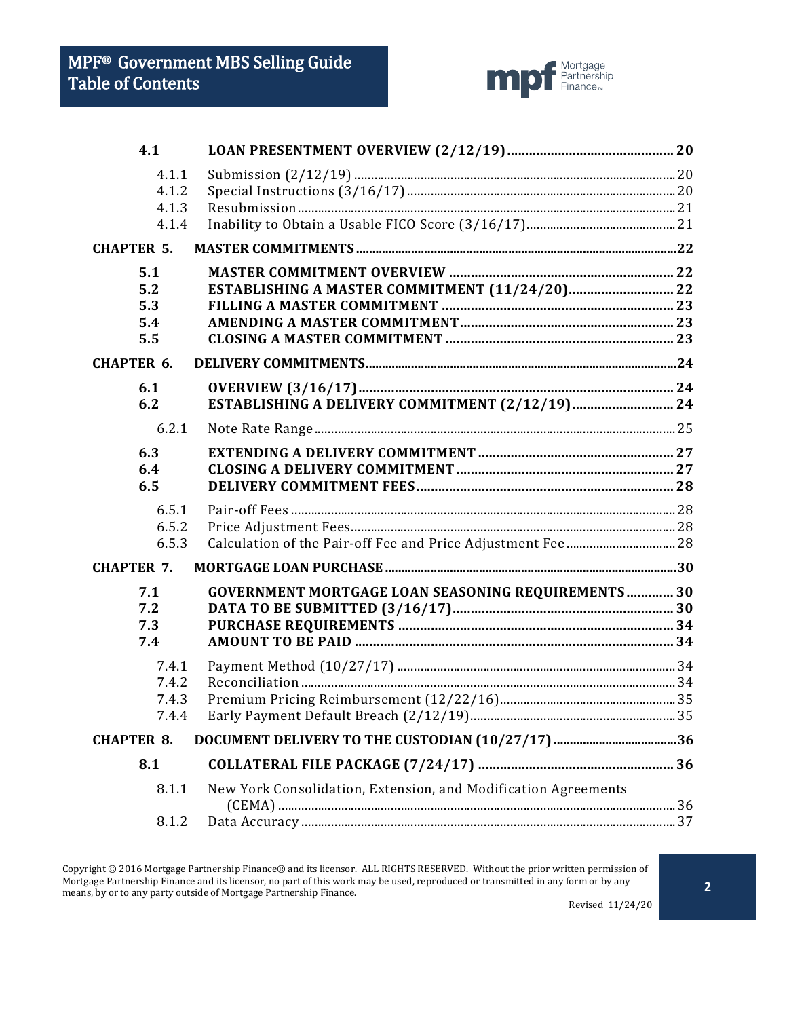

| 4.1               |                                                                |  |
|-------------------|----------------------------------------------------------------|--|
| 4.1.1             |                                                                |  |
| 4.1.2             |                                                                |  |
| 4.1.3<br>4.1.4    |                                                                |  |
| <b>CHAPTER 5.</b> |                                                                |  |
|                   |                                                                |  |
| 5.1<br>5.2        | ESTABLISHING A MASTER COMMITMENT (11/24/20) 22                 |  |
| 5.3               |                                                                |  |
| 5.4               |                                                                |  |
| 5.5               |                                                                |  |
| <b>CHAPTER 6.</b> |                                                                |  |
| 6.1               |                                                                |  |
| 6.2               | ESTABLISHING A DELIVERY COMMITMENT (2/12/19) 24                |  |
| 6.2.1             |                                                                |  |
| 6.3               |                                                                |  |
| 6.4               |                                                                |  |
| 6.5               |                                                                |  |
| 6.5.1             |                                                                |  |
| 6.5.2             |                                                                |  |
| 6.5.3             |                                                                |  |
| <b>CHAPTER 7.</b> |                                                                |  |
| 7.1               | <b>GOVERNMENT MORTGAGE LOAN SEASONING REQUIREMENTS 30</b>      |  |
| 7.2               |                                                                |  |
| 7.3               |                                                                |  |
| 7.4               |                                                                |  |
| 7.4.1             |                                                                |  |
| 7.4.2             |                                                                |  |
| 7.4.3             |                                                                |  |
| 7.4.4             |                                                                |  |
| <b>CHAPTER 8.</b> |                                                                |  |
| 8.1               |                                                                |  |
| 8.1.1             | New York Consolidation, Extension, and Modification Agreements |  |
| 8.1.2             |                                                                |  |
|                   |                                                                |  |

Copyright © 2016 Mortgage Partnership Finance® and its licensor. ALL RIGHTS RESERVED. Without the prior written permission of Mortgage Partnership Finance and its licensor, no part of this work may be used, reproduced or transmitted in any form or by any means, by or to any party outside of Mortgage Partnership Finance.

Revised 11/24/20

**2**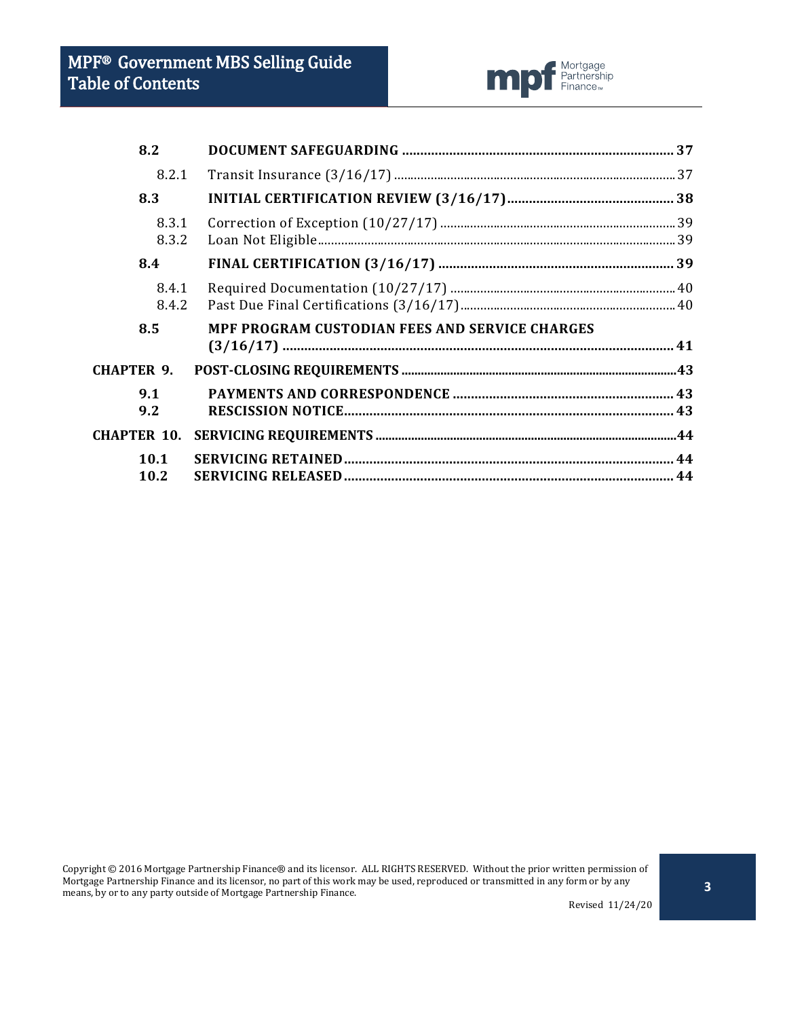

| 8.2                |                                                |  |
|--------------------|------------------------------------------------|--|
| 8.2.1              |                                                |  |
| 8.3                |                                                |  |
| 8.3.1<br>8.3.2     |                                                |  |
| 8.4                |                                                |  |
| 8.4.1<br>8.4.2     |                                                |  |
| 8.5                | MPF PROGRAM CUSTODIAN FEES AND SERVICE CHARGES |  |
| <b>CHAPTER 9.</b>  |                                                |  |
| 9.1<br>9.2         |                                                |  |
| <b>CHAPTER 10.</b> |                                                |  |
| 10.1<br>10.2       |                                                |  |

Copyright © 2016 Mortgage Partnership Finance® and its licensor. ALL RIGHTS RESERVED. Without the prior written permission of Mortgage Partnership Finance and its licensor, no part of this work may be used, reproduced or transmitted in any form or by any means, by or to any party outside of Mortgage Partnership Finance.

Revised 11/24/20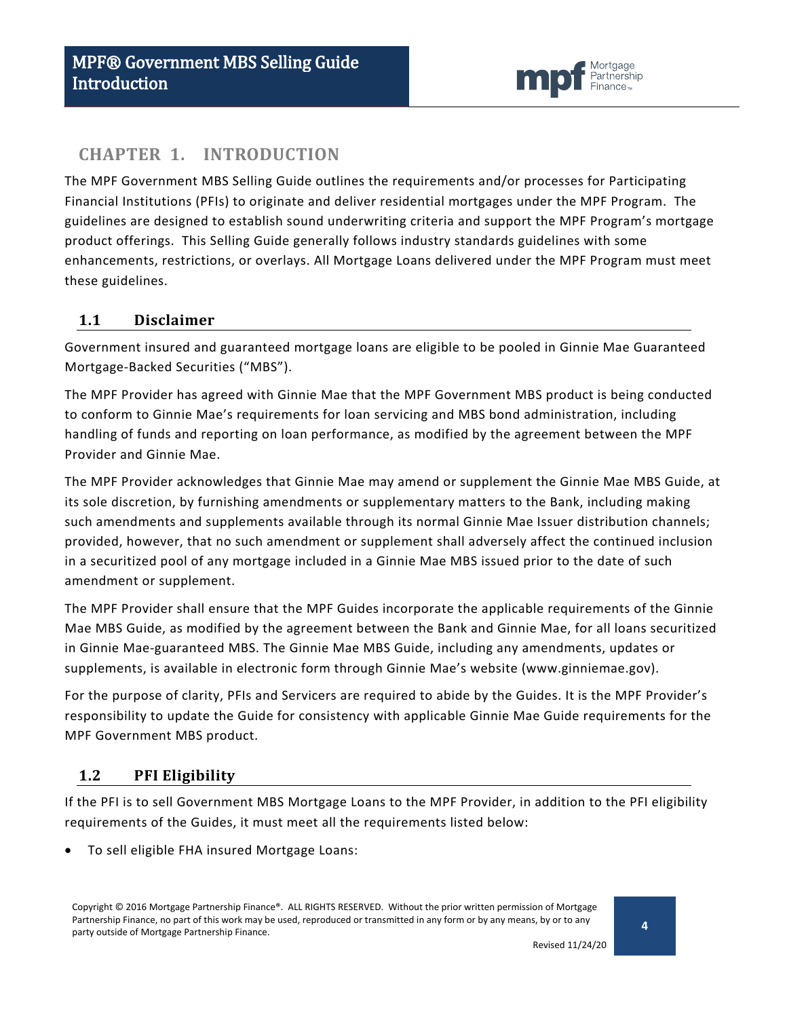

### <span id="page-3-0"></span>**CHAPTER 1. INTRODUCTION**

The MPF Government MBS Selling Guide outlines the requirements and/or processes for Participating Financial Institutions (PFIs) to originate and deliver residential mortgages under the MPF Program. The guidelines are designed to establish sound underwriting criteria and support the MPF Program's mortgage product offerings. This Selling Guide generally follows industry standards guidelines with some enhancements, restrictions, or overlays. All Mortgage Loans delivered under the MPF Program must meet these guidelines.

### <span id="page-3-1"></span>**1.1 Disclaimer**

Government insured and guaranteed mortgage loans are eligible to be pooled in Ginnie Mae Guaranteed Mortgage-Backed Securities ("MBS").

The MPF Provider has agreed with Ginnie Mae that the MPF Government MBS product is being conducted to conform to Ginnie Mae's requirements for loan servicing and MBS bond administration, including handling of funds and reporting on loan performance, as modified by the agreement between the MPF Provider and Ginnie Mae.

The MPF Provider acknowledges that Ginnie Mae may amend or supplement the Ginnie Mae MBS Guide, at its sole discretion, by furnishing amendments or supplementary matters to the Bank, including making such amendments and supplements available through its normal Ginnie Mae Issuer distribution channels; provided, however, that no such amendment or supplement shall adversely affect the continued inclusion in a securitized pool of any mortgage included in a Ginnie Mae MBS issued prior to the date of such amendment or supplement.

The MPF Provider shall ensure that the MPF Guides incorporate the applicable requirements of the Ginnie Mae MBS Guide, as modified by the agreement between the Bank and Ginnie Mae, for all loans securitized in Ginnie Mae-guaranteed MBS. The Ginnie Mae MBS Guide, including any amendments, updates or supplements, is available in electronic form through Ginnie Mae's website (www.ginniemae.gov).

For the purpose of clarity, PFIs and Servicers are required to abide by the Guides. It is the MPF Provider's responsibility to update the Guide for consistency with applicable Ginnie Mae Guide requirements for the MPF Government MBS product.

### <span id="page-3-2"></span>**1.2 PFI Eligibility**

If the PFI is to sell Government MBS Mortgage Loans to the MPF Provider, in addition to the PFI eligibility requirements of the Guides, it must meet all the requirements listed below:

• To sell eligible FHA insured Mortgage Loans:

Copyright © 2016 Mortgage Partnership Finance®. ALL RIGHTS RESERVED. Without the prior written permission of Mortgage Partnership Finance, no part of this work may be used, reproduced or transmitted in any form or by any means, by or to any party outside of Mortgage Partnership Finance.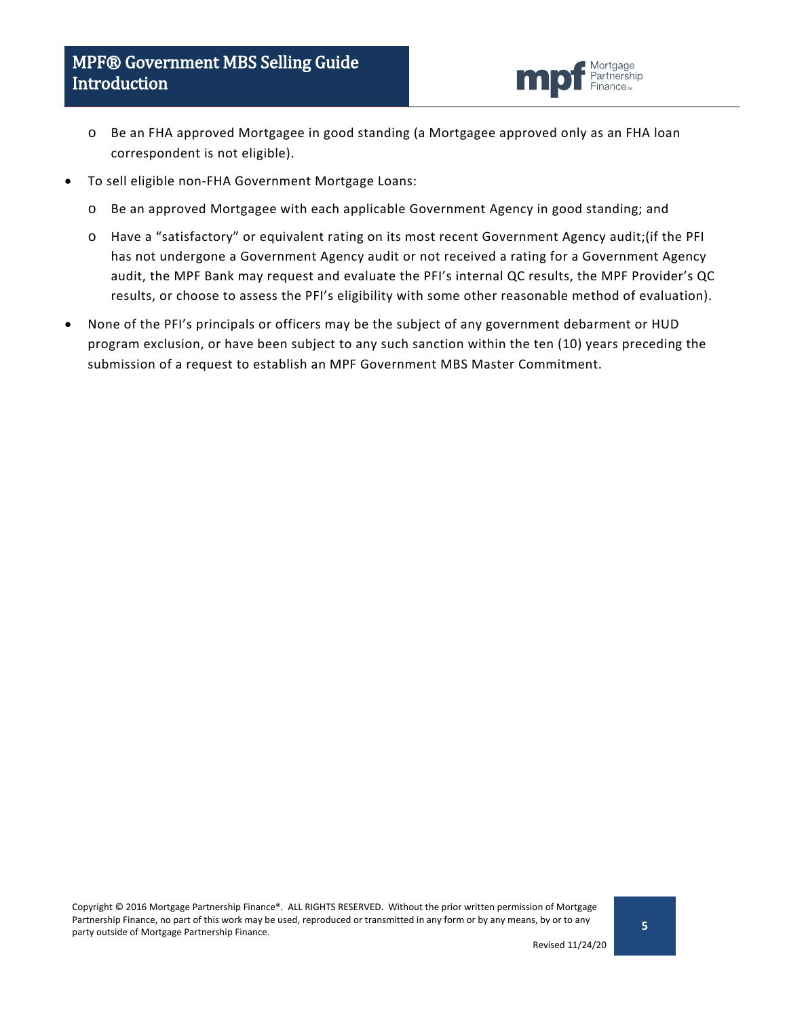

- o Be an FHA approved Mortgagee in good standing (a Mortgagee approved only as an FHA loan correspondent is not eligible).
- To sell eligible non-FHA Government Mortgage Loans:
	- o Be an approved Mortgagee with each applicable Government Agency in good standing; and
	- o Have a "satisfactory" or equivalent rating on its most recent Government Agency audit;(if the PFI has not undergone a Government Agency audit or not received a rating for a Government Agency audit, the MPF Bank may request and evaluate the PFI's internal QC results, the MPF Provider's QC results, or choose to assess the PFI's eligibility with some other reasonable method of evaluation).
- None of the PFI's principals or officers may be the subject of any government debarment or HUD program exclusion, or have been subject to any such sanction within the ten (10) years preceding the submission of a request to establish an MPF Government MBS Master Commitment.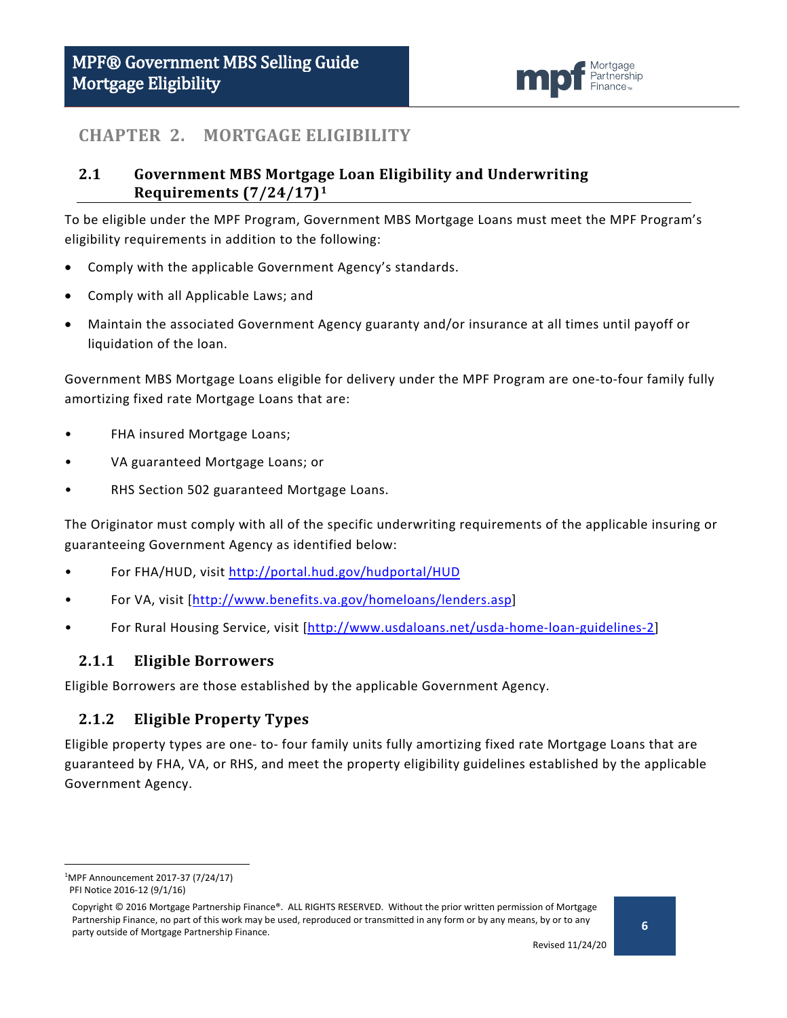

### <span id="page-5-0"></span>**CHAPTER 2. MORTGAGE ELIGIBILITY**

### <span id="page-5-1"></span>**2.1 Government MBS Mortgage Loan Eligibility and Underwriting Requirements (7/24/17)[1](#page-5-4)**

To be eligible under the MPF Program, Government MBS Mortgage Loans must meet the MPF Program's eligibility requirements in addition to the following:

- Comply with the applicable Government Agency's standards.
- Comply with all Applicable Laws; and
- Maintain the associated Government Agency guaranty and/or insurance at all times until payoff or liquidation of the loan.

Government MBS Mortgage Loans eligible for delivery under the MPF Program are one-to-four family fully amortizing fixed rate Mortgage Loans that are:

- FHA insured Mortgage Loans;
- VA guaranteed Mortgage Loans; or
- RHS Section 502 guaranteed Mortgage Loans.

The Originator must comply with all of the specific underwriting requirements of the applicable insuring or guaranteeing Government Agency as identified below:

- For FHA/HUD, visit<http://portal.hud.gov/hudportal/HUD>
- For VA, visit [\[http://www.benefits.va.gov/homeloans/lenders.asp\]](http://www.benefits.va.gov/homeloans/lenders.asp)
- For Rural Housing Service, visit [\[http://www.usdaloans.net/usda-home-loan-guidelines-2\]](http://www.usdaloans.net/usda-home-loan-guidelines-2)

#### <span id="page-5-2"></span>**2.1.1 Eligible Borrowers**

Eligible Borrowers are those established by the applicable Government Agency.

#### <span id="page-5-3"></span>**2.1.2 Eligible Property Types**

Eligible property types are one- to- four family units fully amortizing fixed rate Mortgage Loans that are guaranteed by FHA, VA, or RHS, and meet the property eligibility guidelines established by the applicable Government Agency.

<span id="page-5-4"></span> $\overline{1}$ MPF Announcement 2017-37 (7/24/17) PFI Notice 2016-12 (9/1/16)

Copyright © 2016 Mortgage Partnership Finance®. ALL RIGHTS RESERVED. Without the prior written permission of Mortgage Partnership Finance, no part of this work may be used, reproduced or transmitted in any form or by any means, by or to any party outside of Mortgage Partnership Finance.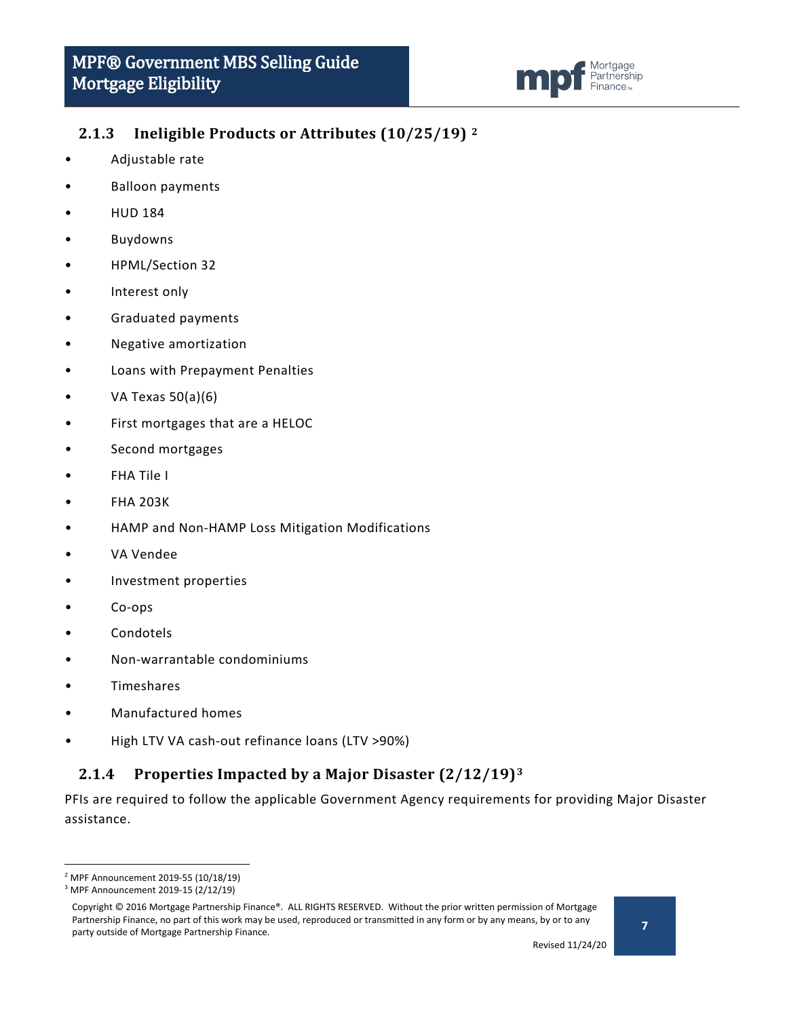

### <span id="page-6-0"></span>**2.1.3 Ineligible Products or Attributes (10/25/19) [2](#page-6-2)**

- Adjustable rate
- Balloon payments
- HUD 184
- **Buydowns**
- HPML/Section 32
- Interest only
- Graduated payments
- Negative amortization
- Loans with Prepayment Penalties
- VA Texas 50(a)(6)
- First mortgages that are a HELOC
- Second mortgages
- FHA Tile I
- FHA 203K
- HAMP and Non-HAMP Loss Mitigation Modifications
- VA Vendee
- Investment properties
- Co-ops
- Condotels
- Non-warrantable condominiums
- **Timeshares**
- Manufactured homes
- High LTV VA cash-out refinance loans (LTV >90%)

### <span id="page-6-1"></span>**2.1.4 Properties Impacted by a Major Disaster (2/12/19)[3](#page-6-3)**

PFIs are required to follow the applicable Government Agency requirements for providing Major Disaster assistance.

<span id="page-6-2"></span> <sup>2</sup> MPF Announcement 2019-55 (10/18/19)

<span id="page-6-3"></span><sup>3</sup> MPF Announcement 2019-15 (2/12/19)

Copyright © 2016 Mortgage Partnership Finance®. ALL RIGHTS RESERVED. Without the prior written permission of Mortgage Partnership Finance, no part of this work may be used, reproduced or transmitted in any form or by any means, by or to any party outside of Mortgage Partnership Finance.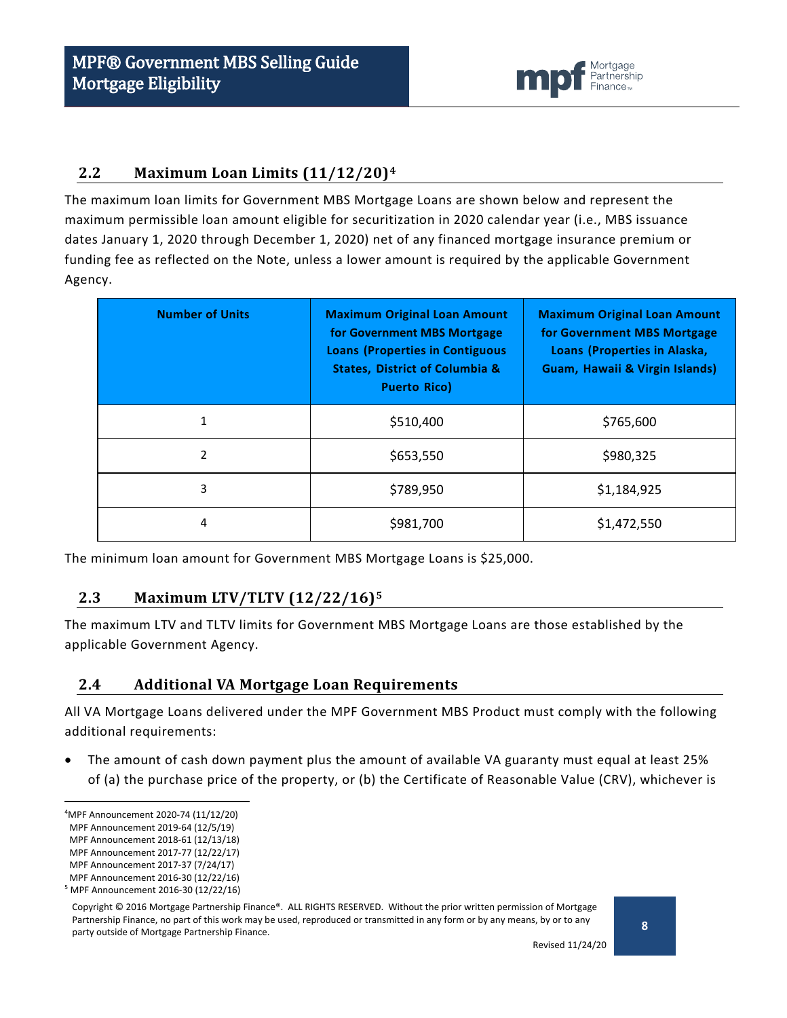

### <span id="page-7-0"></span>**2.2 Maximum Loan Limits (11/12/20)[4](#page-7-3)**

The maximum loan limits for Government MBS Mortgage Loans are shown below and represent the maximum permissible loan amount eligible for securitization in 2020 calendar year (i.e., MBS issuance dates January 1, 2020 through December 1, 2020) net of any financed mortgage insurance premium or funding fee as reflected on the Note, unless a lower amount is required by the applicable Government Agency.

| <b>Number of Units</b> | <b>Maximum Original Loan Amount</b><br>for Government MBS Mortgage<br><b>Loans (Properties in Contiguous</b><br><b>States, District of Columbia &amp;</b><br><b>Puerto Rico)</b> | <b>Maximum Original Loan Amount</b><br>for Government MBS Mortgage<br>Loans (Properties in Alaska,<br>Guam, Hawaii & Virgin Islands) |
|------------------------|----------------------------------------------------------------------------------------------------------------------------------------------------------------------------------|--------------------------------------------------------------------------------------------------------------------------------------|
| 1                      | \$510,400                                                                                                                                                                        | \$765,600                                                                                                                            |
| 2                      | \$653,550                                                                                                                                                                        | \$980,325                                                                                                                            |
| 3                      | \$789,950                                                                                                                                                                        | \$1,184,925                                                                                                                          |
| 4                      | \$981,700                                                                                                                                                                        | \$1,472,550                                                                                                                          |

The minimum loan amount for Government MBS Mortgage Loans is \$25,000.

#### <span id="page-7-1"></span>**2.3 Maximum LTV/TLTV (12/22/16)[5](#page-7-4)**

The maximum LTV and TLTV limits for Government MBS Mortgage Loans are those established by the applicable Government Agency.

#### <span id="page-7-2"></span>**2.4 Additional VA Mortgage Loan Requirements**

All VA Mortgage Loans delivered under the MPF Government MBS Product must comply with the following additional requirements:

• The amount of cash down payment plus the amount of available VA guaranty must equal at least 25% of (a) the purchase price of the property, or (b) the Certificate of Reasonable Value (CRV), whichever is

<span id="page-7-3"></span> $\frac{1}{4}$ MPF Announcement 2020-74 (11/12/20)

MPF Announcement 2019-64 (12/5/19)

MPF Announcement 2018-61 (12/13/18) MPF Announcement 2017-77 (12/22/17)

MPF Announcement 2017-37 (7/24/17)

MPF Announcement 2016-30 (12/22/16)

<span id="page-7-4"></span><sup>5</sup> MPF Announcement 2016-30 (12/22/16)

Copyright © 2016 Mortgage Partnership Finance®. ALL RIGHTS RESERVED. Without the prior written permission of Mortgage Partnership Finance, no part of this work may be used, reproduced or transmitted in any form or by any means, by or to any party outside of Mortgage Partnership Finance.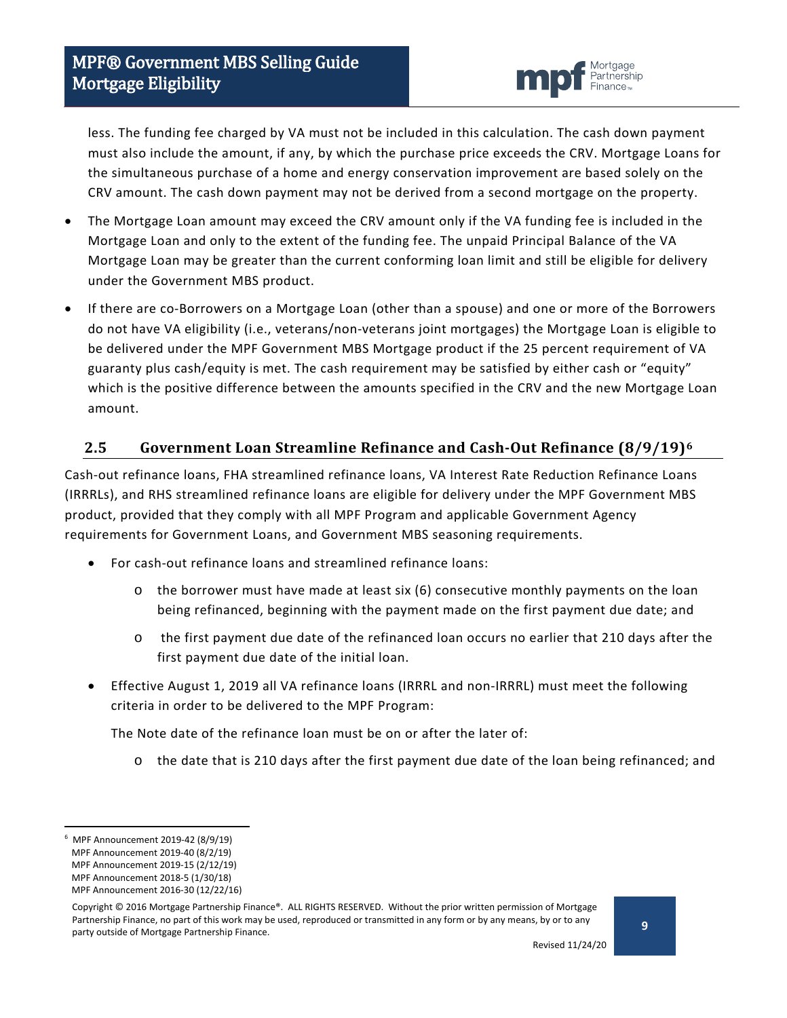

less. The funding fee charged by VA must not be included in this calculation. The cash down payment must also include the amount, if any, by which the purchase price exceeds the CRV. Mortgage Loans for the simultaneous purchase of a home and energy conservation improvement are based solely on the CRV amount. The cash down payment may not be derived from a second mortgage on the property.

- The Mortgage Loan amount may exceed the CRV amount only if the VA funding fee is included in the Mortgage Loan and only to the extent of the funding fee. The unpaid Principal Balance of the VA Mortgage Loan may be greater than the current conforming loan limit and still be eligible for delivery under the Government MBS product.
- If there are co-Borrowers on a Mortgage Loan (other than a spouse) and one or more of the Borrowers do not have VA eligibility (i.e., veterans/non-veterans joint mortgages) the Mortgage Loan is eligible to be delivered under the MPF Government MBS Mortgage product if the 25 percent requirement of VA guaranty plus cash/equity is met. The cash requirement may be satisfied by either cash or "equity" which is the positive difference between the amounts specified in the CRV and the new Mortgage Loan amount.

### <span id="page-8-0"></span>**2.5 Government Loan Streamline Refinance and Cash-Out Refinance (8/9/19)[6](#page-8-1)**

Cash-out refinance loans, FHA streamlined refinance loans, VA Interest Rate Reduction Refinance Loans (IRRRLs), and RHS streamlined refinance loans are eligible for delivery under the MPF Government MBS product, provided that they comply with all MPF Program and applicable Government Agency requirements for Government Loans, and Government MBS seasoning requirements.

- For cash-out refinance loans and streamlined refinance loans:
	- $\circ$  the borrower must have made at least six (6) consecutive monthly payments on the loan being refinanced, beginning with the payment made on the first payment due date; and
	- o the first payment due date of the refinanced loan occurs no earlier that 210 days after the first payment due date of the initial loan.
- Effective August 1, 2019 all VA refinance loans (IRRRL and non-IRRRL) must meet the following criteria in order to be delivered to the MPF Program:

The Note date of the refinance loan must be on or after the later of:

o the date that is 210 days after the first payment due date of the loan being refinanced; and

<span id="page-8-1"></span><sup>-&</sup>lt;br>6 MPF Announcement 2019-42 (8/9/19)

MPF Announcement 2019-40 (8/2/19)

MPF Announcement 2019-15 (2/12/19)

MPF Announcement 2018-5 (1/30/18) MPF Announcement 2016-30 (12/22/16)

Copyright © 2016 Mortgage Partnership Finance®. ALL RIGHTS RESERVED. Without the prior written permission of Mortgage Partnership Finance, no part of this work may be used, reproduced or transmitted in any form or by any means, by or to any party outside of Mortgage Partnership Finance.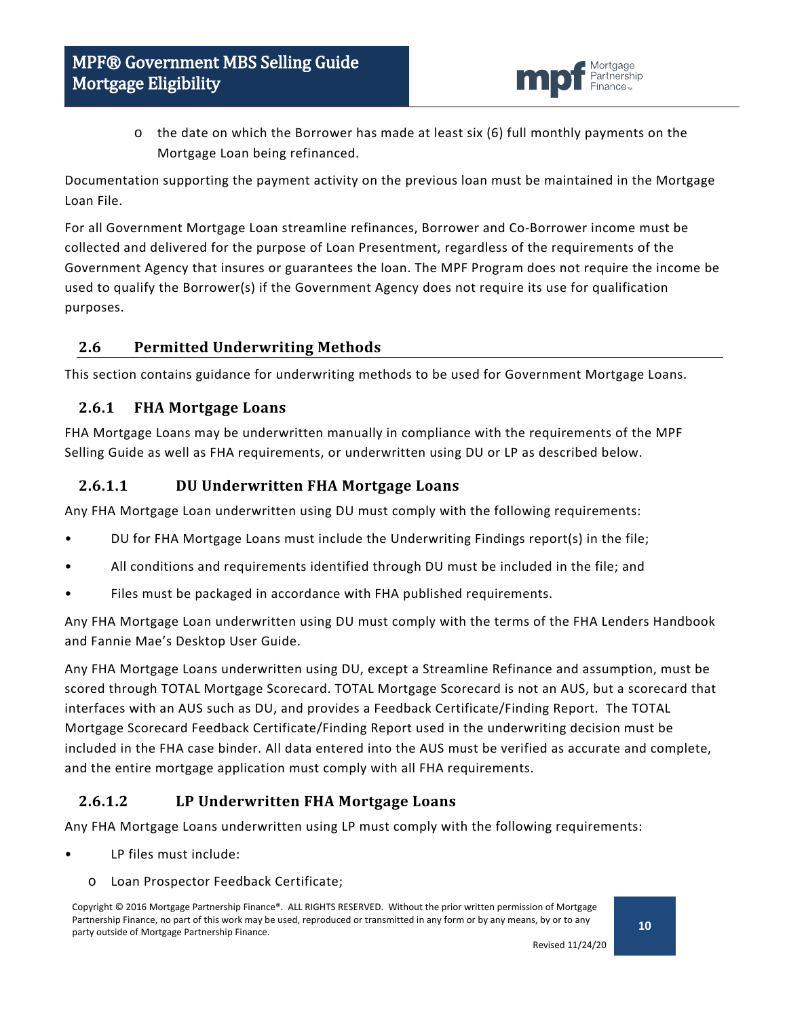

 $\circ$  the date on which the Borrower has made at least six (6) full monthly payments on the Mortgage Loan being refinanced.

Documentation supporting the payment activity on the previous loan must be maintained in the Mortgage Loan File.

For all Government Mortgage Loan streamline refinances, Borrower and Co-Borrower income must be collected and delivered for the purpose of Loan Presentment, regardless of the requirements of the Government Agency that insures or guarantees the loan. The MPF Program does not require the income be used to qualify the Borrower(s) if the Government Agency does not require its use for qualification purposes.

### <span id="page-9-0"></span>**2.6 Permitted Underwriting Methods**

This section contains guidance for underwriting methods to be used for Government Mortgage Loans.

#### <span id="page-9-1"></span>**2.6.1 FHA Mortgage Loans**

FHA Mortgage Loans may be underwritten manually in compliance with the requirements of the MPF Selling Guide as well as FHA requirements, or underwritten using DU or LP as described below.

#### **2.6.1.1 DU Underwritten FHA Mortgage Loans**

Any FHA Mortgage Loan underwritten using DU must comply with the following requirements:

- DU for FHA Mortgage Loans must include the Underwriting Findings report(s) in the file;
- All conditions and requirements identified through DU must be included in the file; and
- Files must be packaged in accordance with FHA published requirements.

Any FHA Mortgage Loan underwritten using DU must comply with the terms of the FHA Lenders Handbook and Fannie Mae's Desktop User Guide.

Any FHA Mortgage Loans underwritten using DU, except a Streamline Refinance and assumption, must be scored through TOTAL Mortgage Scorecard. TOTAL Mortgage Scorecard is not an AUS, but a scorecard that interfaces with an AUS such as DU, and provides a Feedback Certificate/Finding Report. The TOTAL Mortgage Scorecard Feedback Certificate/Finding Report used in the underwriting decision must be included in the FHA case binder. All data entered into the AUS must be verified as accurate and complete, and the entire mortgage application must comply with all FHA requirements.

### **2.6.1.2 LP Underwritten FHA Mortgage Loans**

Any FHA Mortgage Loans underwritten using LP must comply with the following requirements:

- LP files must include:
	- o Loan Prospector Feedback Certificate;

Copyright © 2016 Mortgage Partnership Finance®. ALL RIGHTS RESERVED. Without the prior written permission of Mortgage Partnership Finance, no part of this work may be used, reproduced or transmitted in any form or by any means, by or to any party outside of Mortgage Partnership Finance.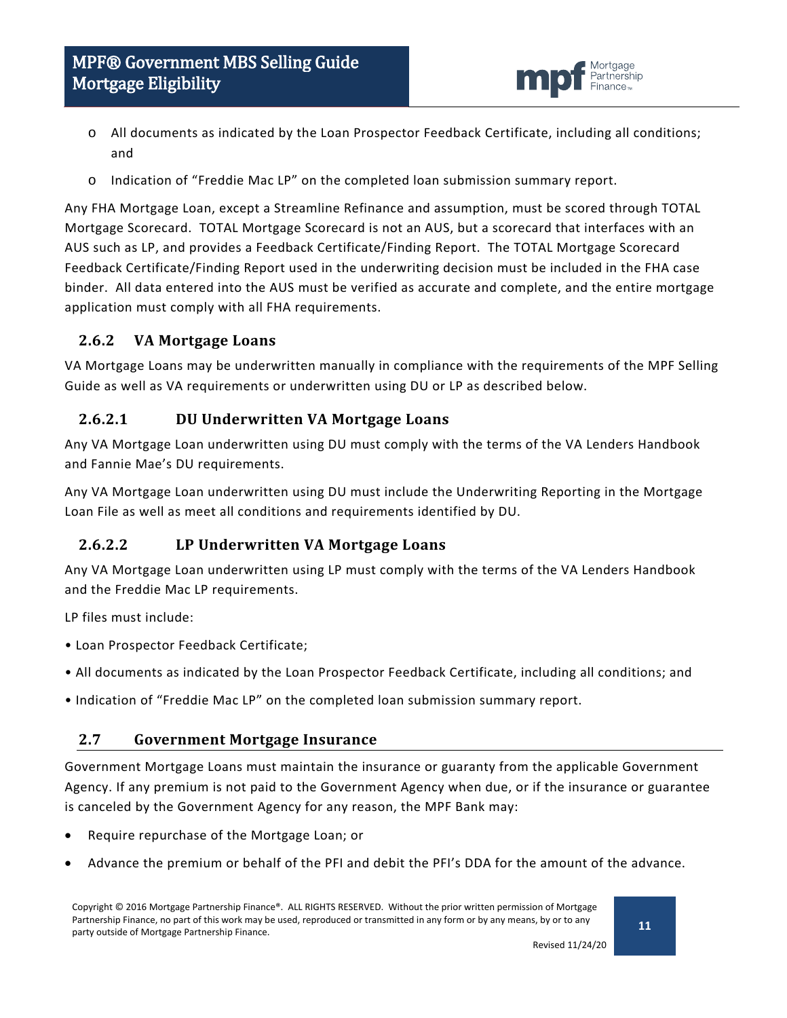

- o All documents as indicated by the Loan Prospector Feedback Certificate, including all conditions; and
- o Indication of "Freddie Mac LP" on the completed loan submission summary report.

Any FHA Mortgage Loan, except a Streamline Refinance and assumption, must be scored through TOTAL Mortgage Scorecard. TOTAL Mortgage Scorecard is not an AUS, but a scorecard that interfaces with an AUS such as LP, and provides a Feedback Certificate/Finding Report. The TOTAL Mortgage Scorecard Feedback Certificate/Finding Report used in the underwriting decision must be included in the FHA case binder. All data entered into the AUS must be verified as accurate and complete, and the entire mortgage application must comply with all FHA requirements.

### <span id="page-10-0"></span>**2.6.2 VA Mortgage Loans**

VA Mortgage Loans may be underwritten manually in compliance with the requirements of the MPF Selling Guide as well as VA requirements or underwritten using DU or LP as described below.

### **2.6.2.1 DU Underwritten VA Mortgage Loans**

Any VA Mortgage Loan underwritten using DU must comply with the terms of the VA Lenders Handbook and Fannie Mae's DU requirements.

Any VA Mortgage Loan underwritten using DU must include the Underwriting Reporting in the Mortgage Loan File as well as meet all conditions and requirements identified by DU.

### **2.6.2.2 LP Underwritten VA Mortgage Loans**

Any VA Mortgage Loan underwritten using LP must comply with the terms of the VA Lenders Handbook and the Freddie Mac LP requirements.

LP files must include:

- Loan Prospector Feedback Certificate;
- All documents as indicated by the Loan Prospector Feedback Certificate, including all conditions; and
- Indication of "Freddie Mac LP" on the completed loan submission summary report.

#### <span id="page-10-1"></span>**2.7 Government Mortgage Insurance**

Government Mortgage Loans must maintain the insurance or guaranty from the applicable Government Agency. If any premium is not paid to the Government Agency when due, or if the insurance or guarantee is canceled by the Government Agency for any reason, the MPF Bank may:

- Require repurchase of the Mortgage Loan; or
- Advance the premium or behalf of the PFI and debit the PFI's DDA for the amount of the advance.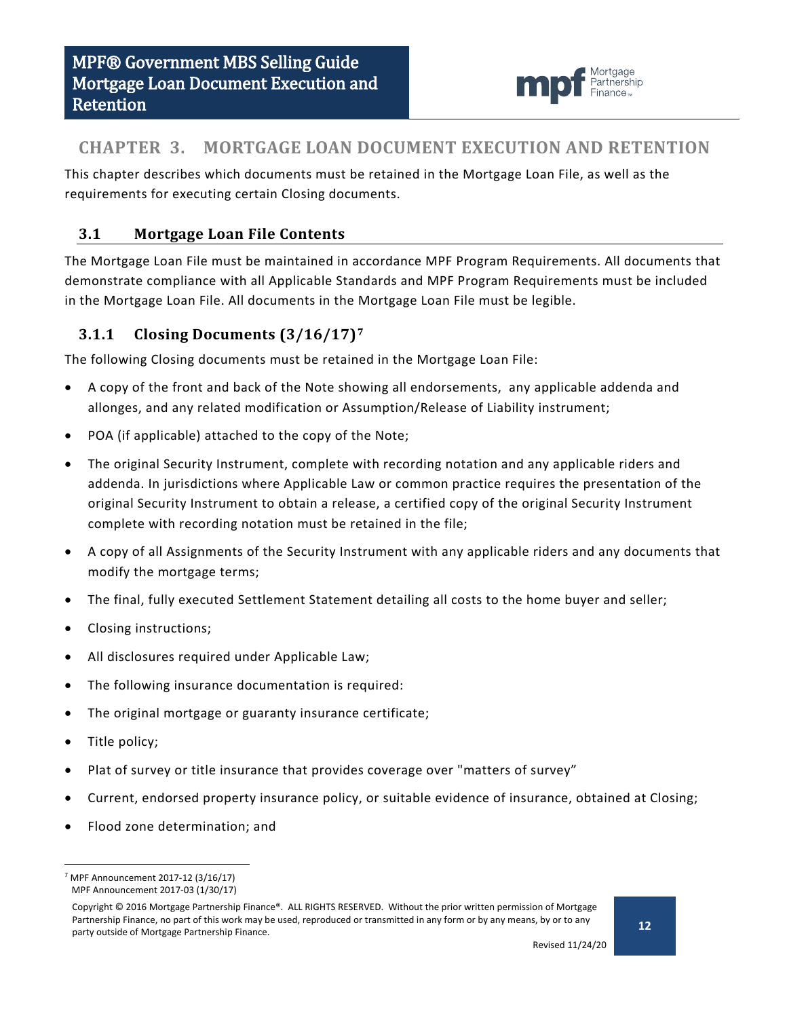

# <span id="page-11-0"></span>**CHAPTER 3. MORTGAGE LOAN DOCUMENT EXECUTION AND RETENTION**

This chapter describes which documents must be retained in the Mortgage Loan File, as well as the requirements for executing certain Closing documents.

### <span id="page-11-1"></span>**3.1 Mortgage Loan File Contents**

The Mortgage Loan File must be maintained in accordance MPF Program Requirements. All documents that demonstrate compliance with all Applicable Standards and MPF Program Requirements must be included in the Mortgage Loan File. All documents in the Mortgage Loan File must be legible.

### <span id="page-11-2"></span>**3.1.1 Closing Documents (3/16/17)[7](#page-11-3)**

The following Closing documents must be retained in the Mortgage Loan File:

- A copy of the front and back of the Note showing all endorsements, any applicable addenda and allonges, and any related modification or Assumption/Release of Liability instrument;
- POA (if applicable) attached to the copy of the Note;
- The original Security Instrument, complete with recording notation and any applicable riders and addenda. In jurisdictions where Applicable Law or common practice requires the presentation of the original Security Instrument to obtain a release, a certified copy of the original Security Instrument complete with recording notation must be retained in the file;
- A copy of all Assignments of the Security Instrument with any applicable riders and any documents that modify the mortgage terms;
- The final, fully executed Settlement Statement detailing all costs to the home buyer and seller;
- Closing instructions;
- All disclosures required under Applicable Law;
- The following insurance documentation is required:
- The original mortgage or guaranty insurance certificate;
- Title policy;
- Plat of survey or title insurance that provides coverage over "matters of survey"
- Current, endorsed property insurance policy, or suitable evidence of insurance, obtained at Closing;
- Flood zone determination; and

<span id="page-11-3"></span> $7$  MPF Announcement 2017-12 (3/16/17) MPF Announcement 2017-03 (1/30/17)

Copyright © 2016 Mortgage Partnership Finance®. ALL RIGHTS RESERVED. Without the prior written permission of Mortgage Partnership Finance, no part of this work may be used, reproduced or transmitted in any form or by any means, by or to any party outside of Mortgage Partnership Finance.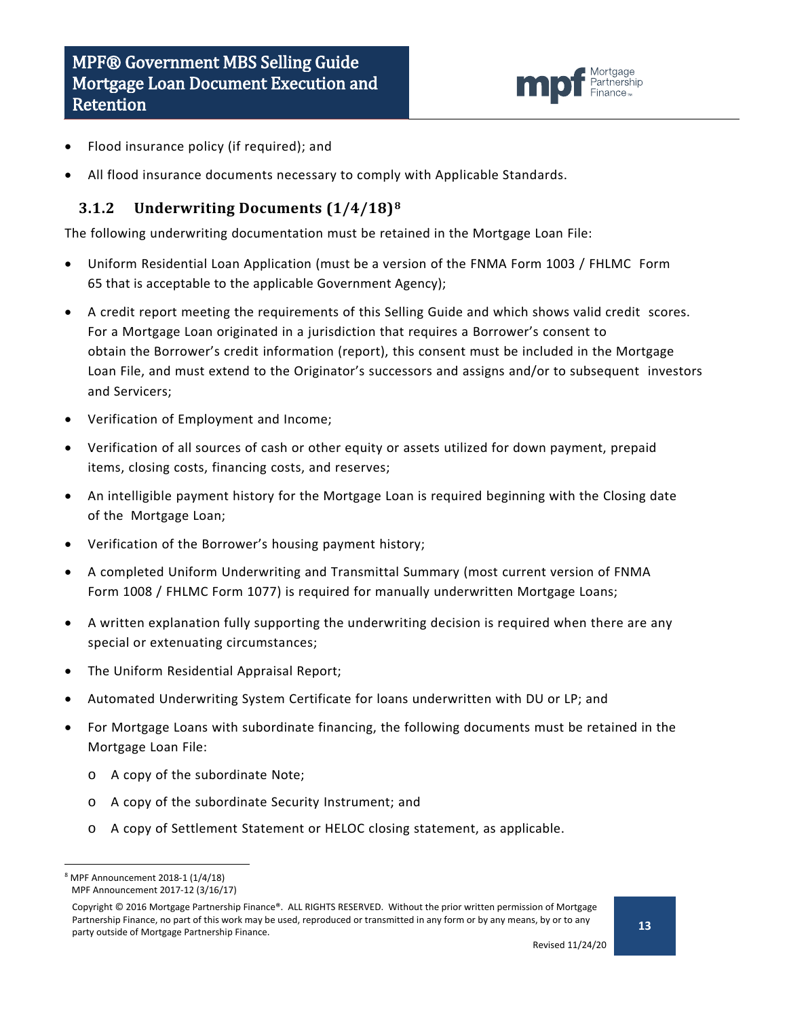

- Flood insurance policy (if required); and
- All flood insurance documents necessary to comply with Applicable Standards.

#### <span id="page-12-0"></span>**3.1.2 Underwriting Documents (1/4/18)[8](#page-12-1)**

The following underwriting documentation must be retained in the Mortgage Loan File:

- Uniform Residential Loan Application (must be a version of the FNMA Form 1003 / FHLMC Form 65 that is acceptable to the applicable Government Agency);
- A credit report meeting the requirements of this Selling Guide and which shows valid credit scores. For a Mortgage Loan originated in a jurisdiction that requires a Borrower's consent to obtain the Borrower's credit information (report), this consent must be included in the Mortgage Loan File, and must extend to the Originator's successors and assigns and/or to subsequent investors and Servicers;
- Verification of Employment and Income;
- Verification of all sources of cash or other equity or assets utilized for down payment, prepaid items, closing costs, financing costs, and reserves;
- An intelligible payment history for the Mortgage Loan is required beginning with the Closing date of the Mortgage Loan;
- Verification of the Borrower's housing payment history;
- A completed Uniform Underwriting and Transmittal Summary (most current version of FNMA Form 1008 / FHLMC Form 1077) is required for manually underwritten Mortgage Loans;
- A written explanation fully supporting the underwriting decision is required when there are any special or extenuating circumstances;
- The Uniform Residential Appraisal Report;
- Automated Underwriting System Certificate for loans underwritten with DU or LP; and
- For Mortgage Loans with subordinate financing, the following documents must be retained in the Mortgage Loan File:
	- o A copy of the subordinate Note;
	- o A copy of the subordinate Security Instrument; and
	- o A copy of Settlement Statement or HELOC closing statement, as applicable.

<span id="page-12-1"></span> <sup>8</sup> MPF Announcement 2018-1 (1/4/18) MPF Announcement 2017-12 (3/16/17)

Copyright © 2016 Mortgage Partnership Finance®. ALL RIGHTS RESERVED. Without the prior written permission of Mortgage Partnership Finance, no part of this work may be used, reproduced or transmitted in any form or by any means, by or to any party outside of Mortgage Partnership Finance.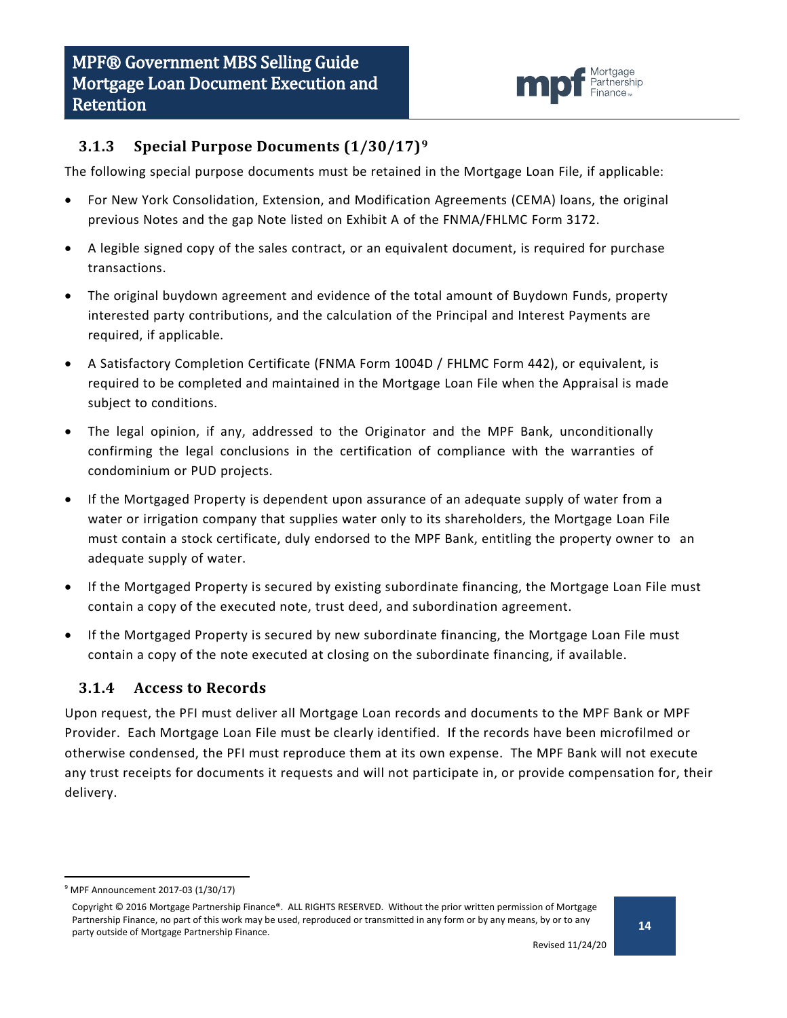

### <span id="page-13-0"></span>**3.1.3 Special Purpose Documents (1/30/17)[9](#page-13-2)**

The following special purpose documents must be retained in the Mortgage Loan File, if applicable:

- For New York Consolidation, Extension, and Modification Agreements (CEMA) loans, the original previous Notes and the gap Note listed on Exhibit A of the FNMA/FHLMC Form 3172.
- A legible signed copy of the sales contract, or an equivalent document, is required for purchase transactions.
- The original buydown agreement and evidence of the total amount of Buydown Funds, property interested party contributions, and the calculation of the Principal and Interest Payments are required, if applicable.
- A Satisfactory Completion Certificate (FNMA Form 1004D / FHLMC Form 442), or equivalent, is required to be completed and maintained in the Mortgage Loan File when the Appraisal is made subject to conditions.
- The legal opinion, if any, addressed to the Originator and the MPF Bank, unconditionally confirming the legal conclusions in the certification of compliance with the warranties of condominium or PUD projects.
- If the Mortgaged Property is dependent upon assurance of an adequate supply of water from a water or irrigation company that supplies water only to its shareholders, the Mortgage Loan File must contain a stock certificate, duly endorsed to the MPF Bank, entitling the property owner to an adequate supply of water.
- If the Mortgaged Property is secured by existing subordinate financing, the Mortgage Loan File must contain a copy of the executed note, trust deed, and subordination agreement.
- If the Mortgaged Property is secured by new subordinate financing, the Mortgage Loan File must contain a copy of the note executed at closing on the subordinate financing, if available.

### <span id="page-13-1"></span>**3.1.4 Access to Records**

Upon request, the PFI must deliver all Mortgage Loan records and documents to the MPF Bank or MPF Provider. Each Mortgage Loan File must be clearly identified. If the records have been microfilmed or otherwise condensed, the PFI must reproduce them at its own expense. The MPF Bank will not execute any trust receipts for documents it requests and will not participate in, or provide compensation for, their delivery.

<span id="page-13-2"></span> <sup>9</sup> MPF Announcement 2017-03 (1/30/17)

Copyright © 2016 Mortgage Partnership Finance®. ALL RIGHTS RESERVED. Without the prior written permission of Mortgage Partnership Finance, no part of this work may be used, reproduced or transmitted in any form or by any means, by or to any party outside of Mortgage Partnership Finance.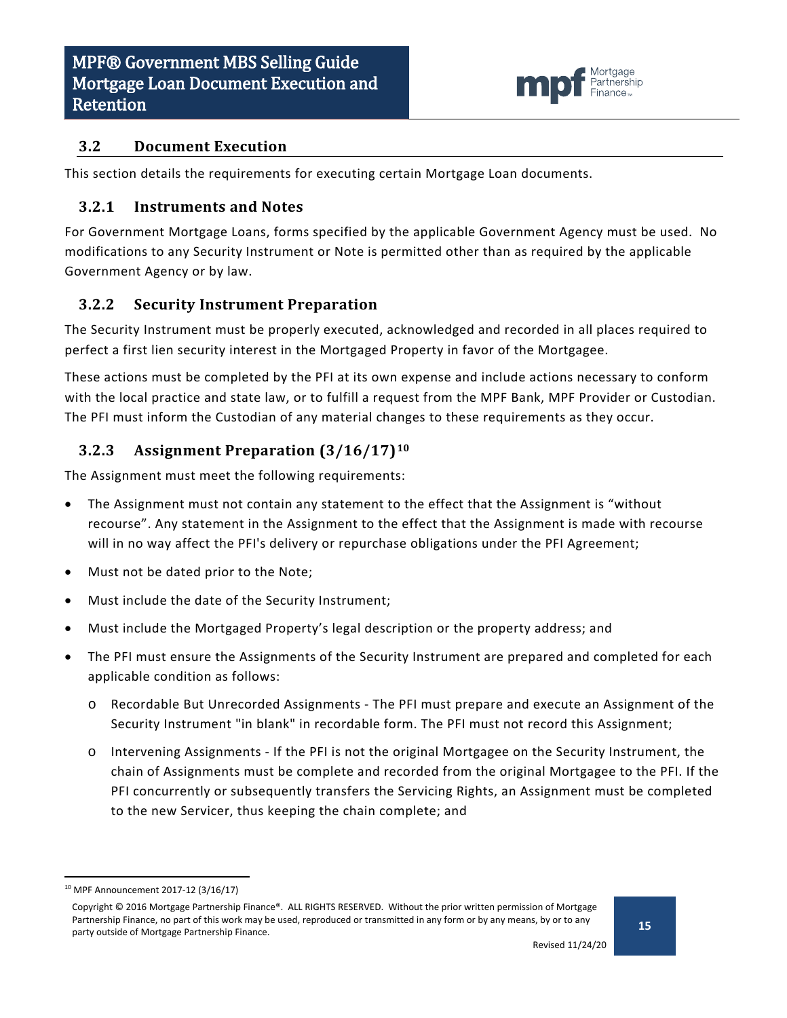

#### <span id="page-14-0"></span>**3.2 Document Execution**

This section details the requirements for executing certain Mortgage Loan documents.

#### <span id="page-14-1"></span>**3.2.1 Instruments and Notes**

For Government Mortgage Loans, forms specified by the applicable Government Agency must be used. No modifications to any Security Instrument or Note is permitted other than as required by the applicable Government Agency or by law.

#### <span id="page-14-2"></span>**3.2.2 Security Instrument Preparation**

The Security Instrument must be properly executed, acknowledged and recorded in all places required to perfect a first lien security interest in the Mortgaged Property in favor of the Mortgagee.

These actions must be completed by the PFI at its own expense and include actions necessary to conform with the local practice and state law, or to fulfill a request from the MPF Bank, MPF Provider or Custodian. The PFI must inform the Custodian of any material changes to these requirements as they occur.

#### <span id="page-14-3"></span>**3.2.3 Assignment Preparation (3/16/17)[10](#page-14-4)**

The Assignment must meet the following requirements:

- The Assignment must not contain any statement to the effect that the Assignment is "without recourse". Any statement in the Assignment to the effect that the Assignment is made with recourse will in no way affect the PFI's delivery or repurchase obligations under the PFI Agreement;
- Must not be dated prior to the Note;
- Must include the date of the Security Instrument;
- Must include the Mortgaged Property's legal description or the property address; and
- The PFI must ensure the Assignments of the Security Instrument are prepared and completed for each applicable condition as follows:
	- o Recordable But Unrecorded Assignments The PFI must prepare and execute an Assignment of the Security Instrument "in blank" in recordable form. The PFI must not record this Assignment;
	- o Intervening Assignments If the PFI is not the original Mortgagee on the Security Instrument, the chain of Assignments must be complete and recorded from the original Mortgagee to the PFI. If the PFI concurrently or subsequently transfers the Servicing Rights, an Assignment must be completed to the new Servicer, thus keeping the chain complete; and

<span id="page-14-4"></span> <sup>10</sup> MPF Announcement 2017-12 (3/16/17)

Copyright © 2016 Mortgage Partnership Finance®. ALL RIGHTS RESERVED. Without the prior written permission of Mortgage Partnership Finance, no part of this work may be used, reproduced or transmitted in any form or by any means, by or to any party outside of Mortgage Partnership Finance.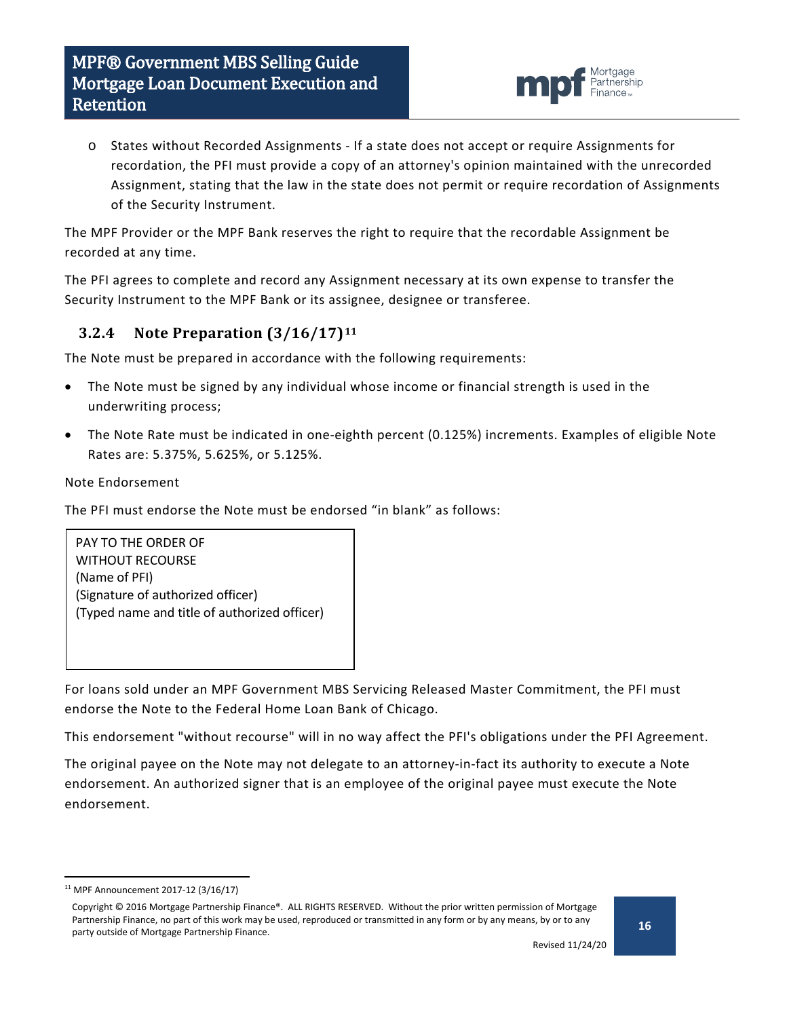

o States without Recorded Assignments - If a state does not accept or require Assignments for recordation, the PFI must provide a copy of an attorney's opinion maintained with the unrecorded Assignment, stating that the law in the state does not permit or require recordation of Assignments of the Security Instrument.

The MPF Provider or the MPF Bank reserves the right to require that the recordable Assignment be recorded at any time.

The PFI agrees to complete and record any Assignment necessary at its own expense to transfer the Security Instrument to the MPF Bank or its assignee, designee or transferee.

### <span id="page-15-0"></span>**3.2.4 Note Preparation (3/16/17)[11](#page-15-1)**

The Note must be prepared in accordance with the following requirements:

- The Note must be signed by any individual whose income or financial strength is used in the underwriting process;
- The Note Rate must be indicated in one-eighth percent (0.125%) increments. Examples of eligible Note Rates are: 5.375%, 5.625%, or 5.125%.

#### Note Endorsement

The PFI must endorse the Note must be endorsed "in blank" as follows:

PAY TO THE ORDER OF WITHOUT RECOURSE (Name of PFI) (Signature of authorized officer) (Typed name and title of authorized officer)

For loans sold under an MPF Government MBS Servicing Released Master Commitment, the PFI must endorse the Note to the Federal Home Loan Bank of Chicago.

This endorsement "without recourse" will in no way affect the PFI's obligations under the PFI Agreement.

The original payee on the Note may not delegate to an attorney-in-fact its authority to execute a Note endorsement. An authorized signer that is an employee of the original payee must execute the Note endorsement.

<span id="page-15-1"></span> <sup>11</sup> MPF Announcement 2017-12 (3/16/17)

Copyright © 2016 Mortgage Partnership Finance®. ALL RIGHTS RESERVED. Without the prior written permission of Mortgage Partnership Finance, no part of this work may be used, reproduced or transmitted in any form or by any means, by or to any party outside of Mortgage Partnership Finance.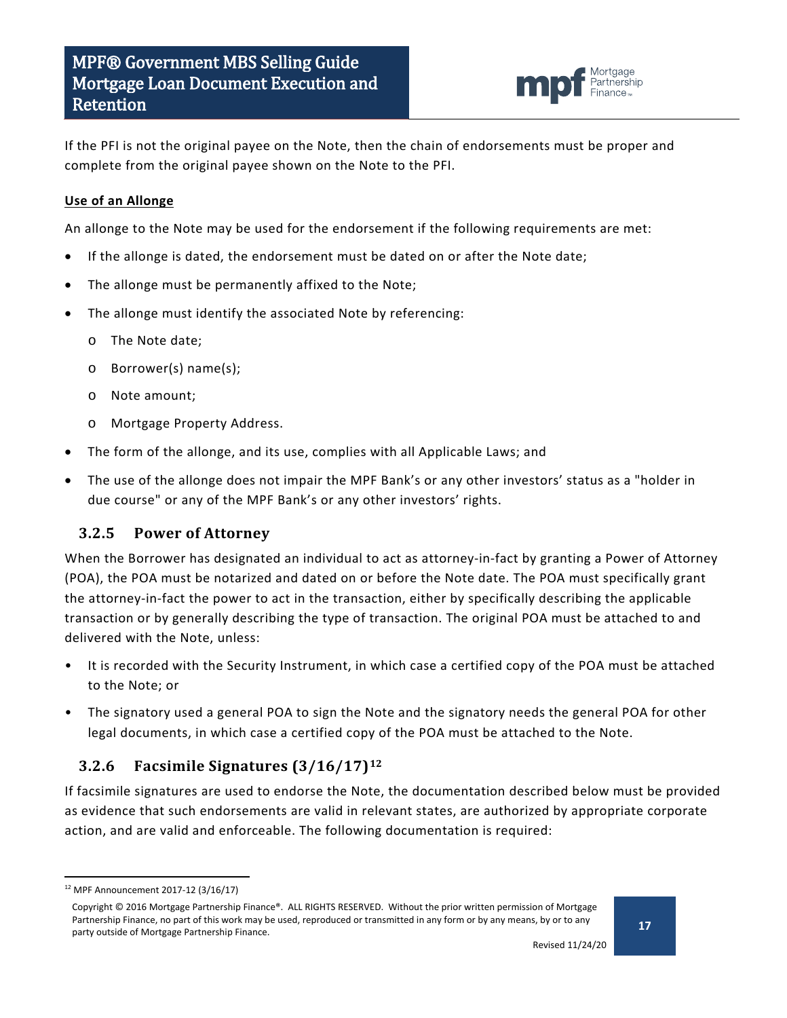

If the PFI is not the original payee on the Note, then the chain of endorsements must be proper and complete from the original payee shown on the Note to the PFI.

#### **Use of an Allonge**

An allonge to the Note may be used for the endorsement if the following requirements are met:

- If the allonge is dated, the endorsement must be dated on or after the Note date;
- The allonge must be permanently affixed to the Note;
- The allonge must identify the associated Note by referencing:
	- o The Note date;
	- o Borrower(s) name(s);
	- o Note amount;
	- o Mortgage Property Address.
- The form of the allonge, and its use, complies with all Applicable Laws; and
- The use of the allonge does not impair the MPF Bank's or any other investors' status as a "holder in due course" or any of the MPF Bank's or any other investors' rights.

#### <span id="page-16-0"></span>**3.2.5 Power of Attorney**

When the Borrower has designated an individual to act as attorney-in-fact by granting a Power of Attorney (POA), the POA must be notarized and dated on or before the Note date. The POA must specifically grant the attorney-in-fact the power to act in the transaction, either by specifically describing the applicable transaction or by generally describing the type of transaction. The original POA must be attached to and delivered with the Note, unless:

- It is recorded with the Security Instrument, in which case a certified copy of the POA must be attached to the Note; or
- The signatory used a general POA to sign the Note and the signatory needs the general POA for other legal documents, in which case a certified copy of the POA must be attached to the Note.

#### <span id="page-16-1"></span>**3.2.6 Facsimile Signatures (3/16/17)[12](#page-16-2)**

If facsimile signatures are used to endorse the Note, the documentation described below must be provided as evidence that such endorsements are valid in relevant states, are authorized by appropriate corporate action, and are valid and enforceable. The following documentation is required:

<span id="page-16-2"></span> <sup>12</sup> MPF Announcement 2017-12 (3/16/17)

Copyright © 2016 Mortgage Partnership Finance®. ALL RIGHTS RESERVED. Without the prior written permission of Mortgage Partnership Finance, no part of this work may be used, reproduced or transmitted in any form or by any means, by or to any party outside of Mortgage Partnership Finance.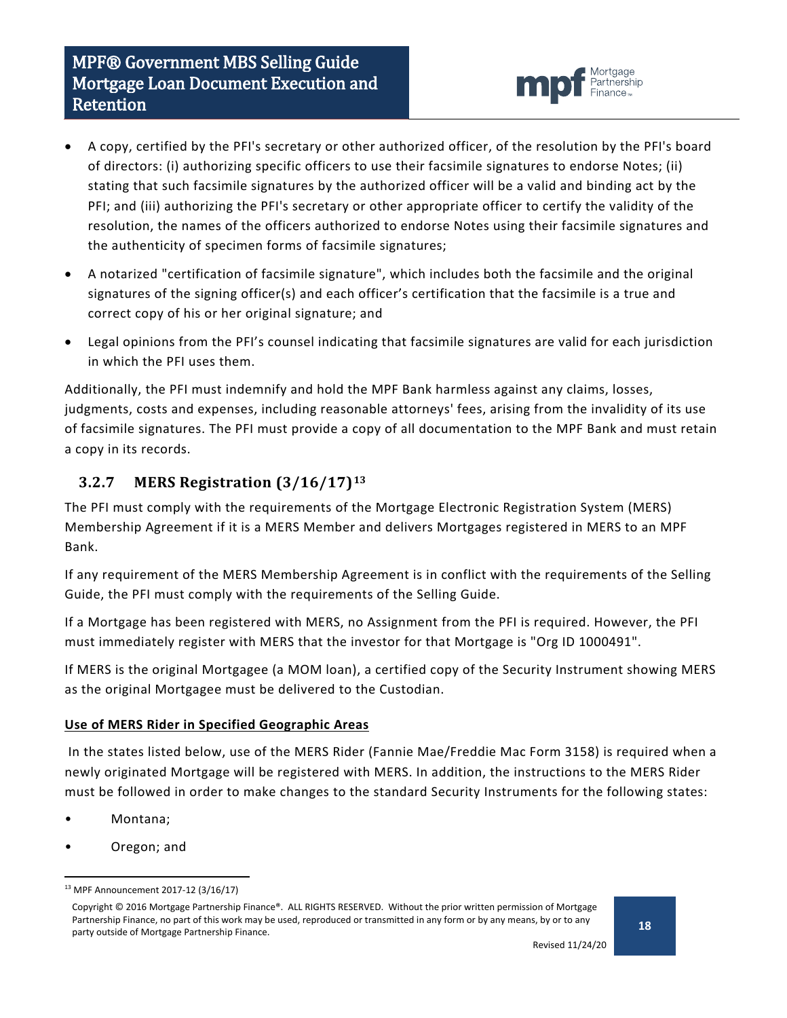# MPF® Government MBS Selling Guide Mortgage Loan Document Execution and Retention



- A copy, certified by the PFI's secretary or other authorized officer, of the resolution by the PFI's board of directors: (i) authorizing specific officers to use their facsimile signatures to endorse Notes; (ii) stating that such facsimile signatures by the authorized officer will be a valid and binding act by the PFI; and (iii) authorizing the PFI's secretary or other appropriate officer to certify the validity of the resolution, the names of the officers authorized to endorse Notes using their facsimile signatures and the authenticity of specimen forms of facsimile signatures;
- A notarized "certification of facsimile signature", which includes both the facsimile and the original signatures of the signing officer(s) and each officer's certification that the facsimile is a true and correct copy of his or her original signature; and
- Legal opinions from the PFI's counsel indicating that facsimile signatures are valid for each jurisdiction in which the PFI uses them.

Additionally, the PFI must indemnify and hold the MPF Bank harmless against any claims, losses, judgments, costs and expenses, including reasonable attorneys' fees, arising from the invalidity of its use of facsimile signatures. The PFI must provide a copy of all documentation to the MPF Bank and must retain a copy in its records.

### <span id="page-17-0"></span>**3.2.7 MERS Registration (3/16/17)[13](#page-17-1)**

The PFI must comply with the requirements of the Mortgage Electronic Registration System (MERS) Membership Agreement if it is a MERS Member and delivers Mortgages registered in MERS to an MPF Bank.

If any requirement of the MERS Membership Agreement is in conflict with the requirements of the Selling Guide, the PFI must comply with the requirements of the Selling Guide.

If a Mortgage has been registered with MERS, no Assignment from the PFI is required. However, the PFI must immediately register with MERS that the investor for that Mortgage is "Org ID 1000491".

If MERS is the original Mortgagee (a MOM loan), a certified copy of the Security Instrument showing MERS as the original Mortgagee must be delivered to the Custodian.

#### **Use of MERS Rider in Specified Geographic Areas**

In the states listed below, use of the MERS Rider (Fannie Mae/Freddie Mac Form 3158) is required when a newly originated Mortgage will be registered with MERS. In addition, the instructions to the MERS Rider must be followed in order to make changes to the standard Security Instruments for the following states:

- Montana;
- Oregon; and

<span id="page-17-1"></span> <sup>13</sup> MPF Announcement 2017-12 (3/16/17)

Copyright © 2016 Mortgage Partnership Finance®. ALL RIGHTS RESERVED. Without the prior written permission of Mortgage Partnership Finance, no part of this work may be used, reproduced or transmitted in any form or by any means, by or to any party outside of Mortgage Partnership Finance.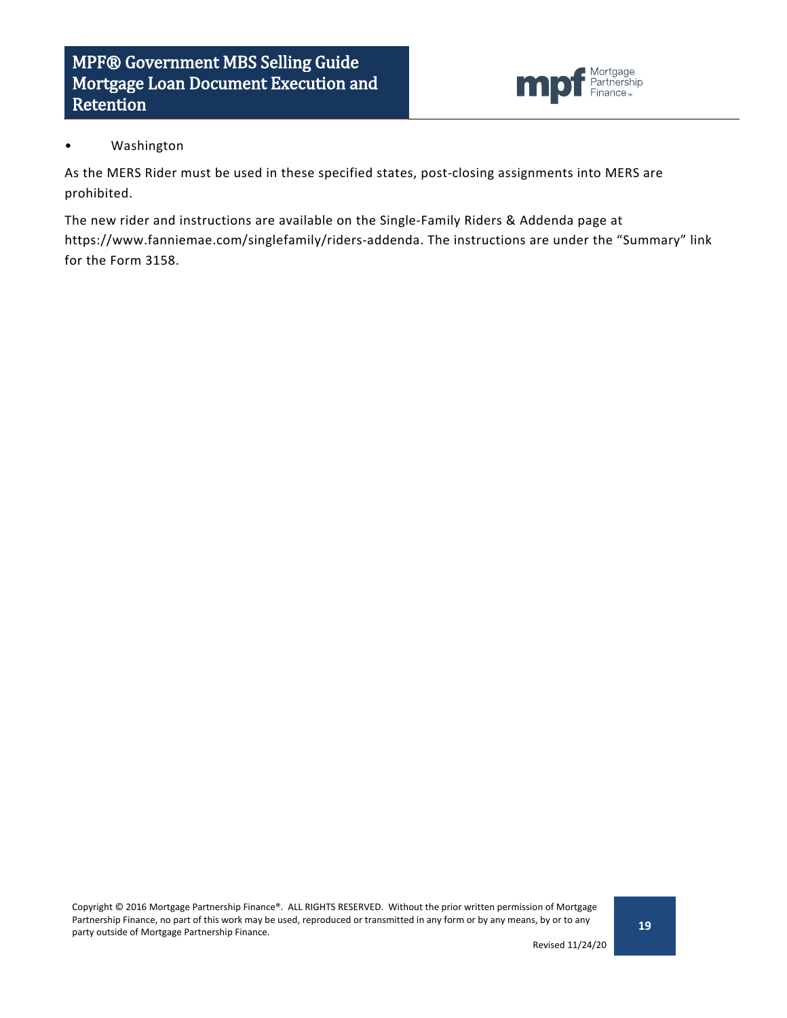

#### • Washington

As the MERS Rider must be used in these specified states, post-closing assignments into MERS are prohibited.

The new rider and instructions are available on the Single-Family Riders & Addenda page at https://www.fanniemae.com/singlefamily/riders-addenda. The instructions are under the "Summary" link for the Form 3158.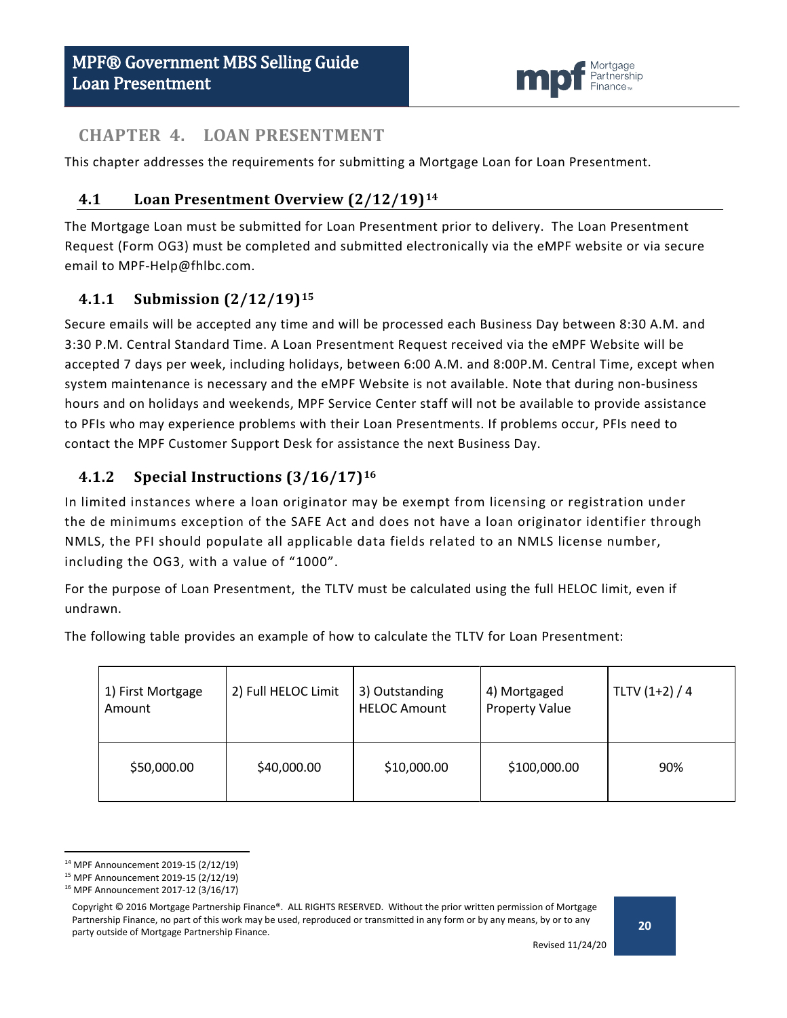

### <span id="page-19-0"></span>**CHAPTER 4. LOAN PRESENTMENT**

<span id="page-19-1"></span>This chapter addresses the requirements for submitting a Mortgage Loan for Loan Presentment.

### **4.1 Loan Presentment Overview (2/12/19)[14](#page-19-4)**

The Mortgage Loan must be submitted for Loan Presentment prior to delivery. The Loan Presentment Request (Form OG3) must be completed and submitted electronically via the eMPF website or via secure email to MPF-Help@fhlbc.com.

### <span id="page-19-2"></span>**4.1.1 Submission (2/12/19)[15](#page-19-5)**

Secure emails will be accepted any time and will be processed each Business Day between 8:30 A.M. and 3:30 P.M. Central Standard Time. A Loan Presentment Request received via the eMPF Website will be accepted 7 days per week, including holidays, between 6:00 A.M. and 8:00P.M. Central Time, except when system maintenance is necessary and the eMPF Website is not available. Note that during non-business hours and on holidays and weekends, MPF Service Center staff will not be available to provide assistance to PFIs who may experience problems with their Loan Presentments. If problems occur, PFIs need to contact the MPF Customer Support Desk for assistance the next Business Day.

### <span id="page-19-3"></span>**4.1.2 Special Instructions (3/16/17)[16](#page-19-6)**

In limited instances where a loan originator may be exempt from licensing or registration under the de minimums exception of the SAFE Act and does not have a loan originator identifier through NMLS, the PFI should populate all applicable data fields related to an NMLS license number, including the OG3, with a value of "1000".

For the purpose of Loan Presentment, the TLTV must be calculated using the full HELOC limit, even if undrawn.

The following table provides an example of how to calculate the TLTV for Loan Presentment:

| 1) First Mortgage<br>Amount | 2) Full HELOC Limit | 3) Outstanding<br><b>HELOC Amount</b> | 4) Mortgaged<br><b>Property Value</b> | TLTV $(1+2) / 4$ |
|-----------------------------|---------------------|---------------------------------------|---------------------------------------|------------------|
| \$50,000.00                 | \$40,000.00         | \$10,000.00                           | \$100,000.00                          | 90%              |

<span id="page-19-4"></span> <sup>14</sup> MPF Announcement 2019-15 (2/12/19)

<span id="page-19-6"></span><span id="page-19-5"></span><sup>15</sup> MPF Announcement 2019-15 (2/12/19)

<sup>16</sup> MPF Announcement 2017-12 (3/16/17)

Copyright © 2016 Mortgage Partnership Finance®. ALL RIGHTS RESERVED. Without the prior written permission of Mortgage Partnership Finance, no part of this work may be used, reproduced or transmitted in any form or by any means, by or to any party outside of Mortgage Partnership Finance.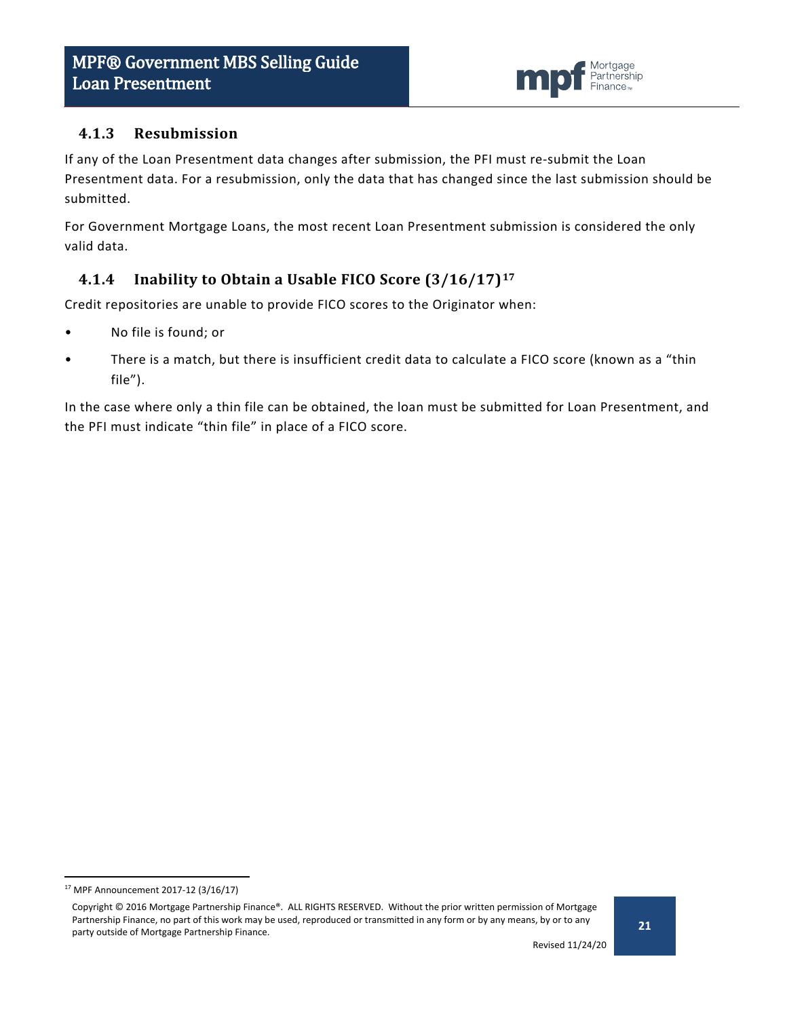

#### <span id="page-20-0"></span>**4.1.3 Resubmission**

If any of the Loan Presentment data changes after submission, the PFI must re-submit the Loan Presentment data. For a resubmission, only the data that has changed since the last submission should be submitted.

For Government Mortgage Loans, the most recent Loan Presentment submission is considered the only valid data.

### <span id="page-20-1"></span>**4.1.4 Inability to Obtain a Usable FICO Score (3/16/17)[17](#page-20-2)**

Credit repositories are unable to provide FICO scores to the Originator when:

- No file is found; or
- There is a match, but there is insufficient credit data to calculate a FICO score (known as a "thin file").

In the case where only a thin file can be obtained, the loan must be submitted for Loan Presentment, and the PFI must indicate "thin file" in place of a FICO score.

<span id="page-20-2"></span> <sup>17</sup> MPF Announcement 2017-12 (3/16/17)

Copyright © 2016 Mortgage Partnership Finance®. ALL RIGHTS RESERVED. Without the prior written permission of Mortgage Partnership Finance, no part of this work may be used, reproduced or transmitted in any form or by any means, by or to any party outside of Mortgage Partnership Finance.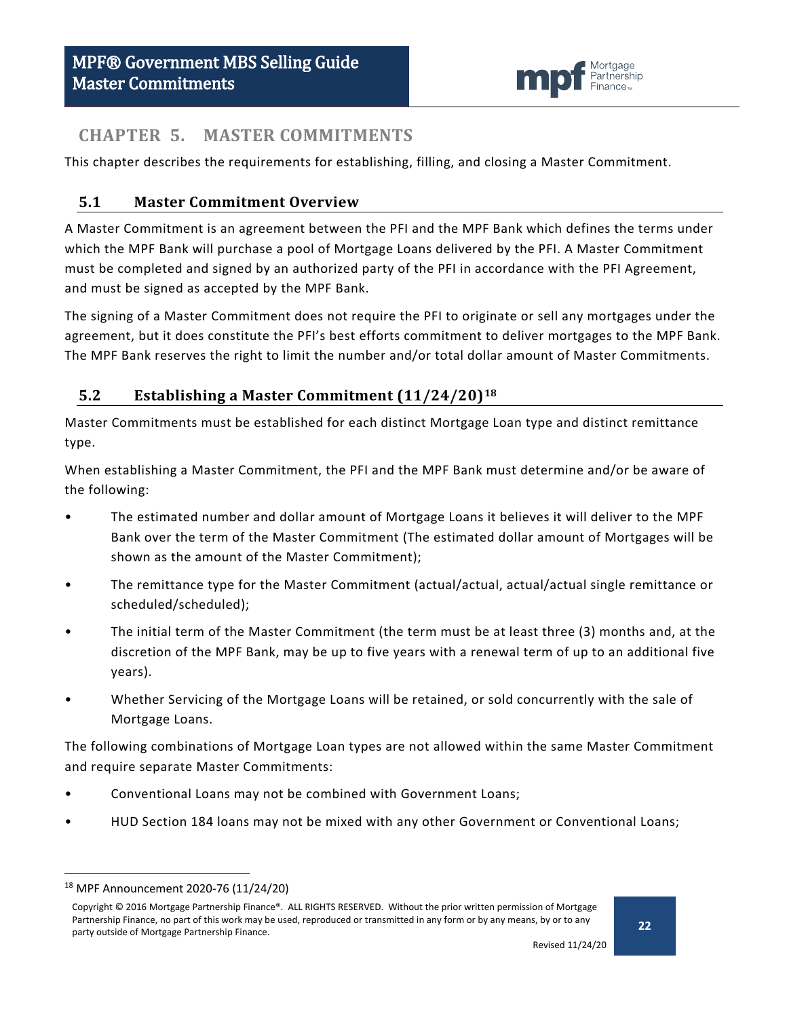

### <span id="page-21-0"></span>**CHAPTER 5. MASTER COMMITMENTS**

This chapter describes the requirements for establishing, filling, and closing a Master Commitment.

### <span id="page-21-1"></span>**5.1 Master Commitment Overview**

A Master Commitment is an agreement between the PFI and the MPF Bank which defines the terms under which the MPF Bank will purchase a pool of Mortgage Loans delivered by the PFI. A Master Commitment must be completed and signed by an authorized party of the PFI in accordance with the PFI Agreement, and must be signed as accepted by the MPF Bank.

The signing of a Master Commitment does not require the PFI to originate or sell any mortgages under the agreement, but it does constitute the PFI's best efforts commitment to deliver mortgages to the MPF Bank. The MPF Bank reserves the right to limit the number and/or total dollar amount of Master Commitments.

### <span id="page-21-2"></span>**5.2 Establishing a Master Commitment (11/24/20)[18](#page-21-3)**

Master Commitments must be established for each distinct Mortgage Loan type and distinct remittance type.

When establishing a Master Commitment, the PFI and the MPF Bank must determine and/or be aware of the following:

- The estimated number and dollar amount of Mortgage Loans it believes it will deliver to the MPF Bank over the term of the Master Commitment (The estimated dollar amount of Mortgages will be shown as the amount of the Master Commitment);
- The remittance type for the Master Commitment (actual/actual, actual/actual single remittance or scheduled/scheduled);
- The initial term of the Master Commitment (the term must be at least three (3) months and, at the discretion of the MPF Bank, may be up to five years with a renewal term of up to an additional five years).
- Whether Servicing of the Mortgage Loans will be retained, or sold concurrently with the sale of Mortgage Loans.

The following combinations of Mortgage Loan types are not allowed within the same Master Commitment and require separate Master Commitments:

- Conventional Loans may not be combined with Government Loans;
- HUD Section 184 loans may not be mixed with any other Government or Conventional Loans;

<span id="page-21-3"></span> <sup>18</sup> MPF Announcement 2020-76 (11/24/20)

Copyright © 2016 Mortgage Partnership Finance®. ALL RIGHTS RESERVED. Without the prior written permission of Mortgage Partnership Finance, no part of this work may be used, reproduced or transmitted in any form or by any means, by or to any party outside of Mortgage Partnership Finance.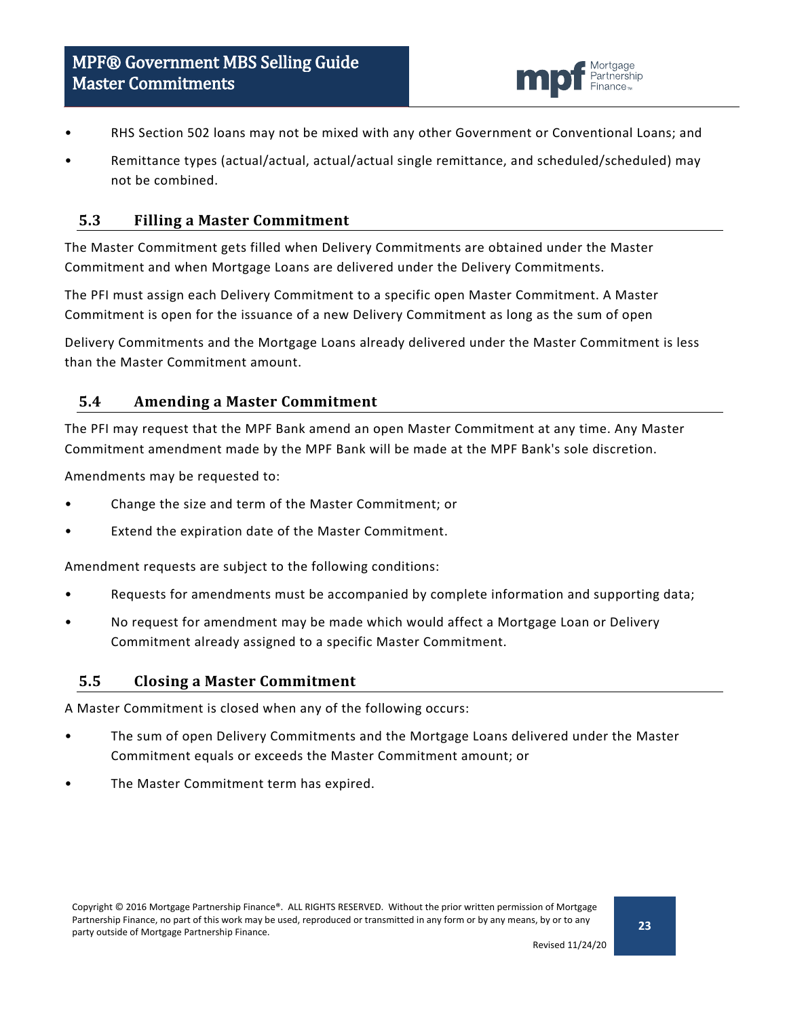

- RHS Section 502 loans may not be mixed with any other Government or Conventional Loans; and
- Remittance types (actual/actual, actual/actual single remittance, and scheduled/scheduled) may not be combined.

#### <span id="page-22-0"></span>**5.3 Filling a Master Commitment**

The Master Commitment gets filled when Delivery Commitments are obtained under the Master Commitment and when Mortgage Loans are delivered under the Delivery Commitments.

The PFI must assign each Delivery Commitment to a specific open Master Commitment. A Master Commitment is open for the issuance of a new Delivery Commitment as long as the sum of open

Delivery Commitments and the Mortgage Loans already delivered under the Master Commitment is less than the Master Commitment amount.

#### <span id="page-22-1"></span>**5.4 Amending a Master Commitment**

The PFI may request that the MPF Bank amend an open Master Commitment at any time. Any Master Commitment amendment made by the MPF Bank will be made at the MPF Bank's sole discretion.

Amendments may be requested to:

- Change the size and term of the Master Commitment; or
- Extend the expiration date of the Master Commitment.

Amendment requests are subject to the following conditions:

- Requests for amendments must be accompanied by complete information and supporting data;
- No request for amendment may be made which would affect a Mortgage Loan or Delivery Commitment already assigned to a specific Master Commitment.

#### <span id="page-22-2"></span>**5.5 Closing a Master Commitment**

A Master Commitment is closed when any of the following occurs:

- The sum of open Delivery Commitments and the Mortgage Loans delivered under the Master Commitment equals or exceeds the Master Commitment amount; or
- The Master Commitment term has expired.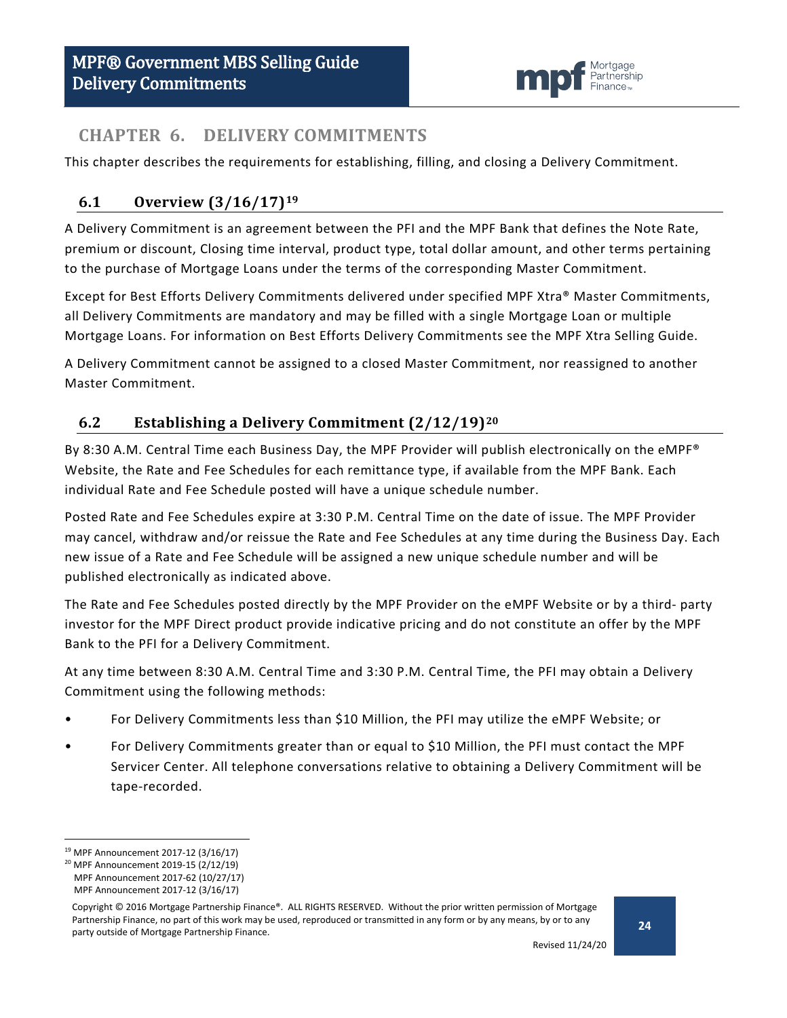

### <span id="page-23-0"></span>**CHAPTER 6. DELIVERY COMMITMENTS**

This chapter describes the requirements for establishing, filling, and closing a Delivery Commitment.

### <span id="page-23-1"></span>**6.1 Overview (3/16/17)[19](#page-23-3)**

A Delivery Commitment is an agreement between the PFI and the MPF Bank that defines the Note Rate, premium or discount, Closing time interval, product type, total dollar amount, and other terms pertaining to the purchase of Mortgage Loans under the terms of the corresponding Master Commitment.

Except for Best Efforts Delivery Commitments delivered under specified MPF Xtra® Master Commitments, all Delivery Commitments are mandatory and may be filled with a single Mortgage Loan or multiple Mortgage Loans. For information on Best Efforts Delivery Commitments see the MPF Xtra Selling Guide.

A Delivery Commitment cannot be assigned to a closed Master Commitment, nor reassigned to another Master Commitment.

### <span id="page-23-2"></span>**6.2 Establishing a Delivery Commitment (2/12/19)[20](#page-23-4)**

By 8:30 A.M. Central Time each Business Day, the MPF Provider will publish electronically on the eMPF® Website, the Rate and Fee Schedules for each remittance type, if available from the MPF Bank. Each individual Rate and Fee Schedule posted will have a unique schedule number.

Posted Rate and Fee Schedules expire at 3:30 P.M. Central Time on the date of issue. The MPF Provider may cancel, withdraw and/or reissue the Rate and Fee Schedules at any time during the Business Day. Each new issue of a Rate and Fee Schedule will be assigned a new unique schedule number and will be published electronically as indicated above.

The Rate and Fee Schedules posted directly by the MPF Provider on the eMPF Website or by a third- party investor for the MPF Direct product provide indicative pricing and do not constitute an offer by the MPF Bank to the PFI for a Delivery Commitment.

At any time between 8:30 A.M. Central Time and 3:30 P.M. Central Time, the PFI may obtain a Delivery Commitment using the following methods:

- For Delivery Commitments less than \$10 Million, the PFI may utilize the eMPF Website; or
- For Delivery Commitments greater than or equal to \$10 Million, the PFI must contact the MPF Servicer Center. All telephone conversations relative to obtaining a Delivery Commitment will be tape-recorded.

<span id="page-23-3"></span> <sup>19</sup> MPF Announcement 2017-12 (3/16/17)

<span id="page-23-4"></span><sup>20</sup> MPF Announcement 2019-15 (2/12/19)

MPF Announcement 2017-62 (10/27/17) MPF Announcement 2017-12 (3/16/17)

Copyright © 2016 Mortgage Partnership Finance®. ALL RIGHTS RESERVED. Without the prior written permission of Mortgage Partnership Finance, no part of this work may be used, reproduced or transmitted in any form or by any means, by or to any party outside of Mortgage Partnership Finance.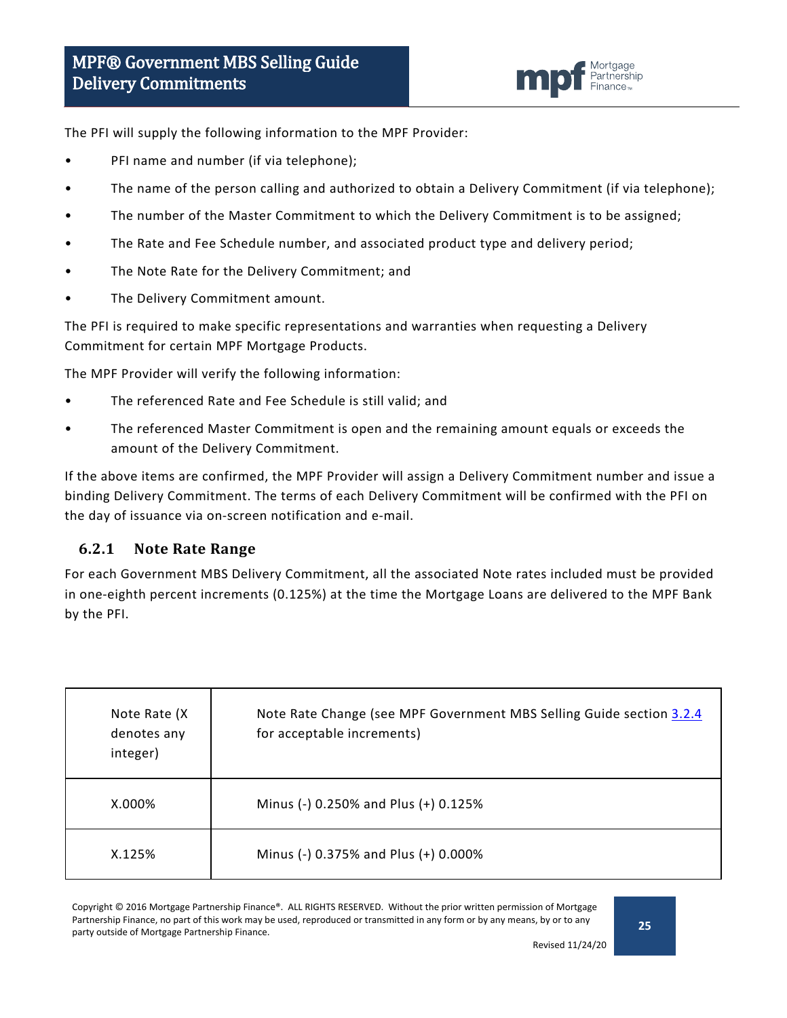![](_page_24_Picture_1.jpeg)

The PFI will supply the following information to the MPF Provider:

- PFI name and number (if via telephone);
- The name of the person calling and authorized to obtain a Delivery Commitment (if via telephone);
- The number of the Master Commitment to which the Delivery Commitment is to be assigned;
- The Rate and Fee Schedule number, and associated product type and delivery period;
- The Note Rate for the Delivery Commitment; and
- The Delivery Commitment amount.

The PFI is required to make specific representations and warranties when requesting a Delivery Commitment for certain MPF Mortgage Products.

The MPF Provider will verify the following information:

- The referenced Rate and Fee Schedule is still valid; and
- The referenced Master Commitment is open and the remaining amount equals or exceeds the amount of the Delivery Commitment.

If the above items are confirmed, the MPF Provider will assign a Delivery Commitment number and issue a binding Delivery Commitment. The terms of each Delivery Commitment will be confirmed with the PFI on the day of issuance via on-screen notification and e-mail.

#### <span id="page-24-0"></span>**6.2.1 Note Rate Range**

For each Government MBS Delivery Commitment, all the associated Note rates included must be provided in one-eighth percent increments (0.125%) at the time the Mortgage Loans are delivered to the MPF Bank by the PFI.

| Note Rate (X)<br>denotes any<br>integer) | Note Rate Change (see MPF Government MBS Selling Guide section 3.2.4<br>for acceptable increments) |
|------------------------------------------|----------------------------------------------------------------------------------------------------|
| $X.000\%$                                | Minus (-) 0.250% and Plus (+) 0.125%                                                               |
| X.125%                                   | Minus (-) 0.375% and Plus (+) 0.000%                                                               |

Copyright © 2016 Mortgage Partnership Finance®. ALL RIGHTS RESERVED. Without the prior written permission of Mortgage Partnership Finance, no part of this work may be used, reproduced or transmitted in any form or by any means, by or to any party outside of Mortgage Partnership Finance.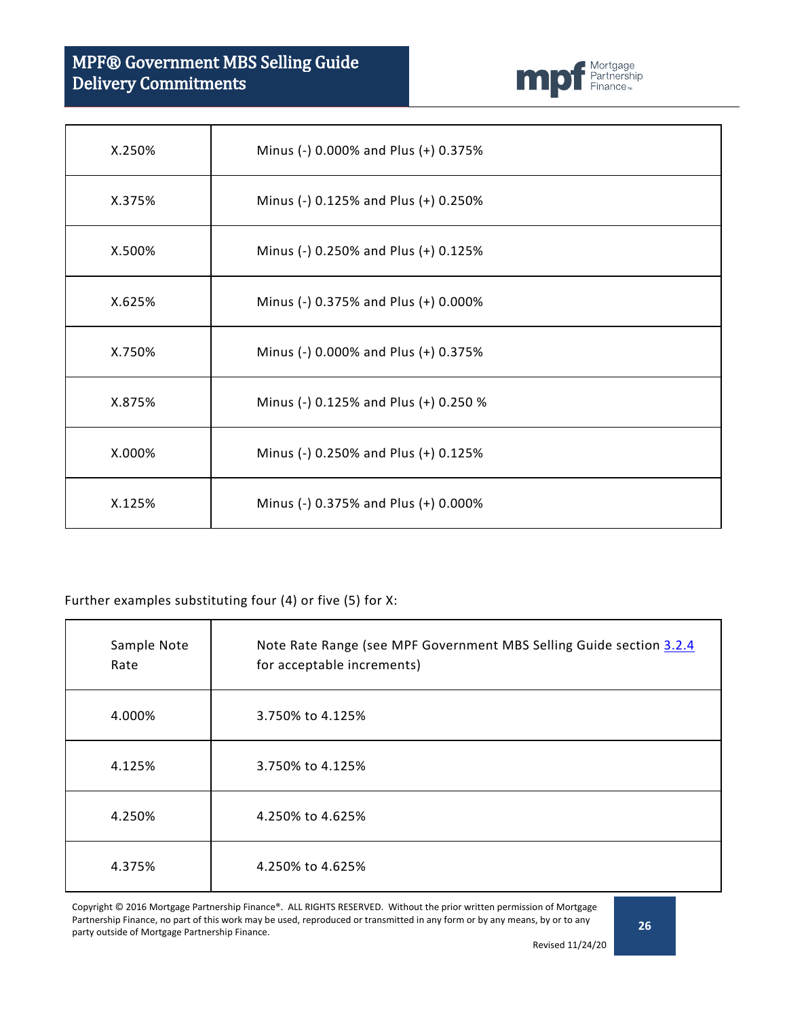# MPF® Government MBS Selling Guide Delivery Commitments

![](_page_25_Picture_1.jpeg)

| X.250% | Minus (-) 0.000% and Plus (+) 0.375%  |
|--------|---------------------------------------|
| X.375% | Minus (-) 0.125% and Plus (+) 0.250%  |
| X.500% | Minus (-) 0.250% and Plus (+) 0.125%  |
| X.625% | Minus (-) 0.375% and Plus (+) 0.000%  |
| X.750% | Minus (-) 0.000% and Plus (+) 0.375%  |
| X.875% | Minus (-) 0.125% and Plus (+) 0.250 % |
| X.000% | Minus (-) 0.250% and Plus (+) 0.125%  |
| X.125% | Minus (-) 0.375% and Plus (+) 0.000%  |

#### Further examples substituting four (4) or five (5) for X:

| Sample Note<br>Rate | Note Rate Range (see MPF Government MBS Selling Guide section 3.2.4<br>for acceptable increments) |
|---------------------|---------------------------------------------------------------------------------------------------|
| 4.000%              | 3.750% to 4.125%                                                                                  |
| 4.125%              | 3.750% to 4.125%                                                                                  |
| 4.250%              | 4.250% to 4.625%                                                                                  |
| 4.375%              | 4.250% to 4.625%                                                                                  |

Copyright © 2016 Mortgage Partnership Finance®. ALL RIGHTS RESERVED. Without the prior written permission of Mortgage Partnership Finance, no part of this work may be used, reproduced or transmitted in any form or by any means, by or to any party outside of Mortgage Partnership Finance.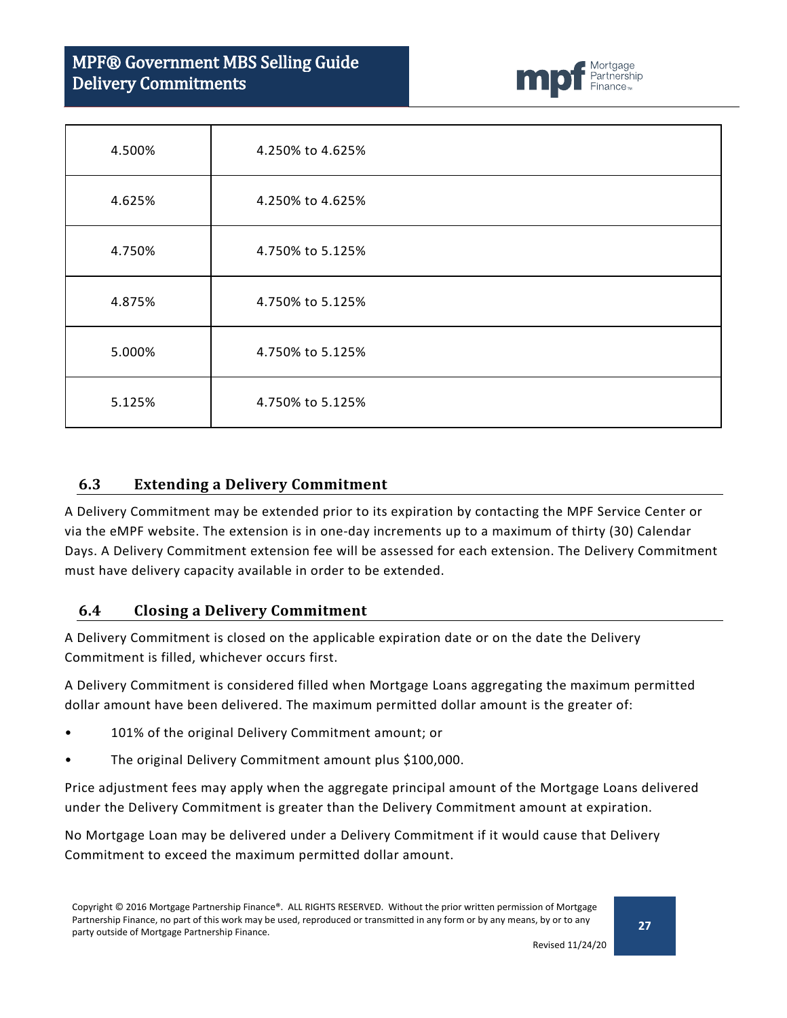# MPF® Government MBS Selling Guide Delivery Commitments

![](_page_26_Picture_1.jpeg)

| 4.500% | 4.250% to 4.625% |
|--------|------------------|
| 4.625% | 4.250% to 4.625% |
| 4.750% | 4.750% to 5.125% |
| 4.875% | 4.750% to 5.125% |
| 5.000% | 4.750% to 5.125% |
| 5.125% | 4.750% to 5.125% |

#### <span id="page-26-0"></span>**6.3 Extending a Delivery Commitment**

A Delivery Commitment may be extended prior to its expiration by contacting the MPF Service Center or via the eMPF website. The extension is in one-day increments up to a maximum of thirty (30) Calendar Days. A Delivery Commitment extension fee will be assessed for each extension. The Delivery Commitment must have delivery capacity available in order to be extended.

#### <span id="page-26-1"></span>**6.4 Closing a Delivery Commitment**

A Delivery Commitment is closed on the applicable expiration date or on the date the Delivery Commitment is filled, whichever occurs first.

A Delivery Commitment is considered filled when Mortgage Loans aggregating the maximum permitted dollar amount have been delivered. The maximum permitted dollar amount is the greater of:

- 101% of the original Delivery Commitment amount; or
- The original Delivery Commitment amount plus \$100,000.

Price adjustment fees may apply when the aggregate principal amount of the Mortgage Loans delivered under the Delivery Commitment is greater than the Delivery Commitment amount at expiration.

No Mortgage Loan may be delivered under a Delivery Commitment if it would cause that Delivery Commitment to exceed the maximum permitted dollar amount.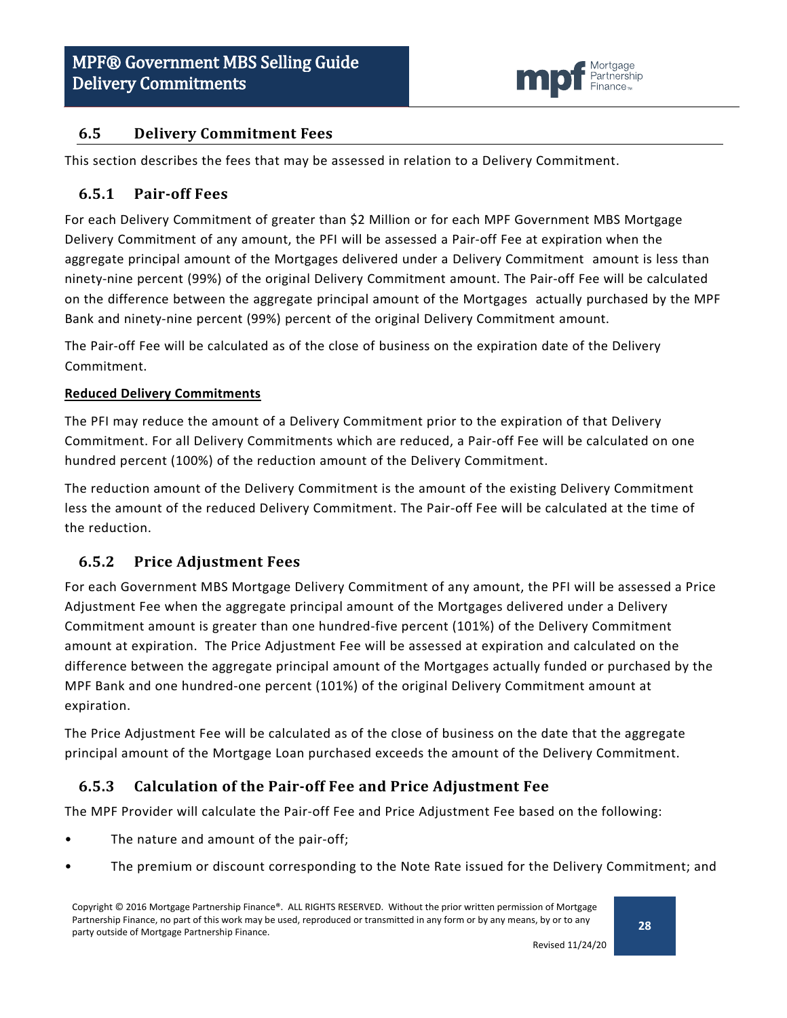![](_page_27_Picture_1.jpeg)

### <span id="page-27-0"></span>**6.5 Delivery Commitment Fees**

This section describes the fees that may be assessed in relation to a Delivery Commitment.

#### <span id="page-27-1"></span>**6.5.1 Pair-off Fees**

For each Delivery Commitment of greater than \$2 Million or for each MPF Government MBS Mortgage Delivery Commitment of any amount, the PFI will be assessed a Pair-off Fee at expiration when the aggregate principal amount of the Mortgages delivered under a Delivery Commitment amount is less than ninety-nine percent (99%) of the original Delivery Commitment amount. The Pair-off Fee will be calculated on the difference between the aggregate principal amount of the Mortgages actually purchased by the MPF Bank and ninety-nine percent (99%) percent of the original Delivery Commitment amount.

The Pair-off Fee will be calculated as of the close of business on the expiration date of the Delivery Commitment.

#### **Reduced Delivery Commitments**

The PFI may reduce the amount of a Delivery Commitment prior to the expiration of that Delivery Commitment. For all Delivery Commitments which are reduced, a Pair-off Fee will be calculated on one hundred percent (100%) of the reduction amount of the Delivery Commitment.

The reduction amount of the Delivery Commitment is the amount of the existing Delivery Commitment less the amount of the reduced Delivery Commitment. The Pair-off Fee will be calculated at the time of the reduction.

#### <span id="page-27-2"></span>**6.5.2 Price Adjustment Fees**

For each Government MBS Mortgage Delivery Commitment of any amount, the PFI will be assessed a Price Adjustment Fee when the aggregate principal amount of the Mortgages delivered under a Delivery Commitment amount is greater than one hundred-five percent (101%) of the Delivery Commitment amount at expiration. The Price Adjustment Fee will be assessed at expiration and calculated on the difference between the aggregate principal amount of the Mortgages actually funded or purchased by the MPF Bank and one hundred-one percent (101%) of the original Delivery Commitment amount at expiration.

The Price Adjustment Fee will be calculated as of the close of business on the date that the aggregate principal amount of the Mortgage Loan purchased exceeds the amount of the Delivery Commitment.

### <span id="page-27-3"></span>**6.5.3 Calculation of the Pair-off Fee and Price Adjustment Fee**

The MPF Provider will calculate the Pair-off Fee and Price Adjustment Fee based on the following:

- The nature and amount of the pair-off;
- The premium or discount corresponding to the Note Rate issued for the Delivery Commitment; and

Copyright © 2016 Mortgage Partnership Finance®. ALL RIGHTS RESERVED. Without the prior written permission of Mortgage Partnership Finance, no part of this work may be used, reproduced or transmitted in any form or by any means, by or to any party outside of Mortgage Partnership Finance.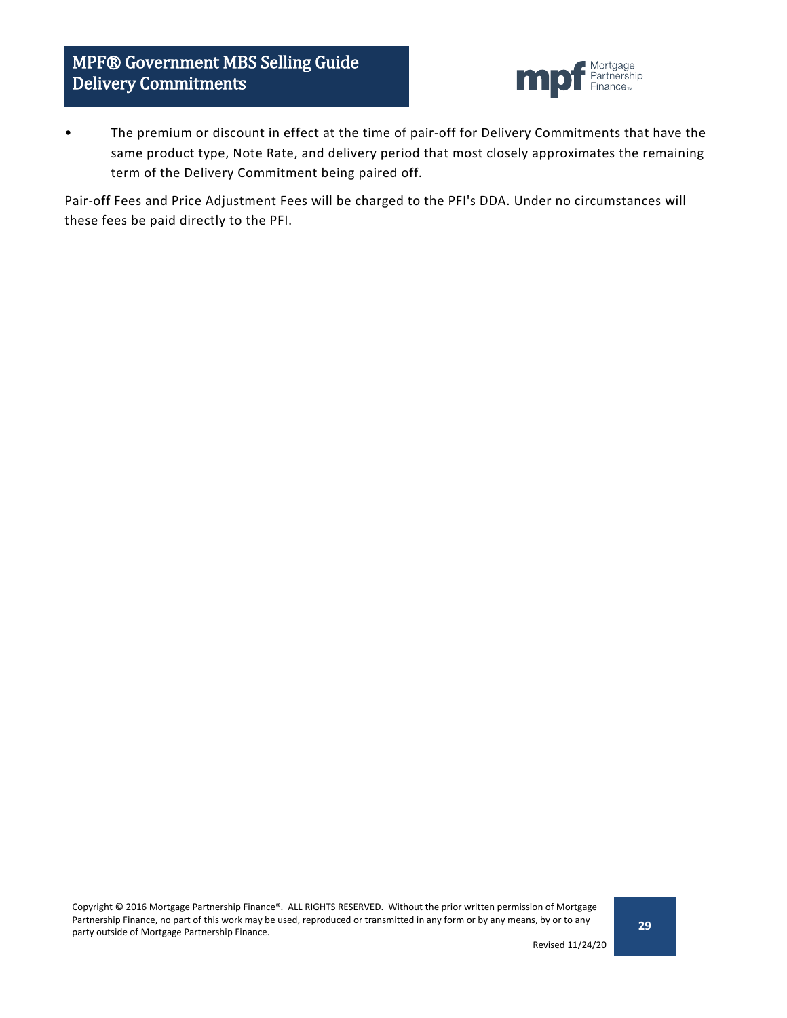![](_page_28_Picture_1.jpeg)

• The premium or discount in effect at the time of pair-off for Delivery Commitments that have the same product type, Note Rate, and delivery period that most closely approximates the remaining term of the Delivery Commitment being paired off.

Pair-off Fees and Price Adjustment Fees will be charged to the PFI's DDA. Under no circumstances will these fees be paid directly to the PFI.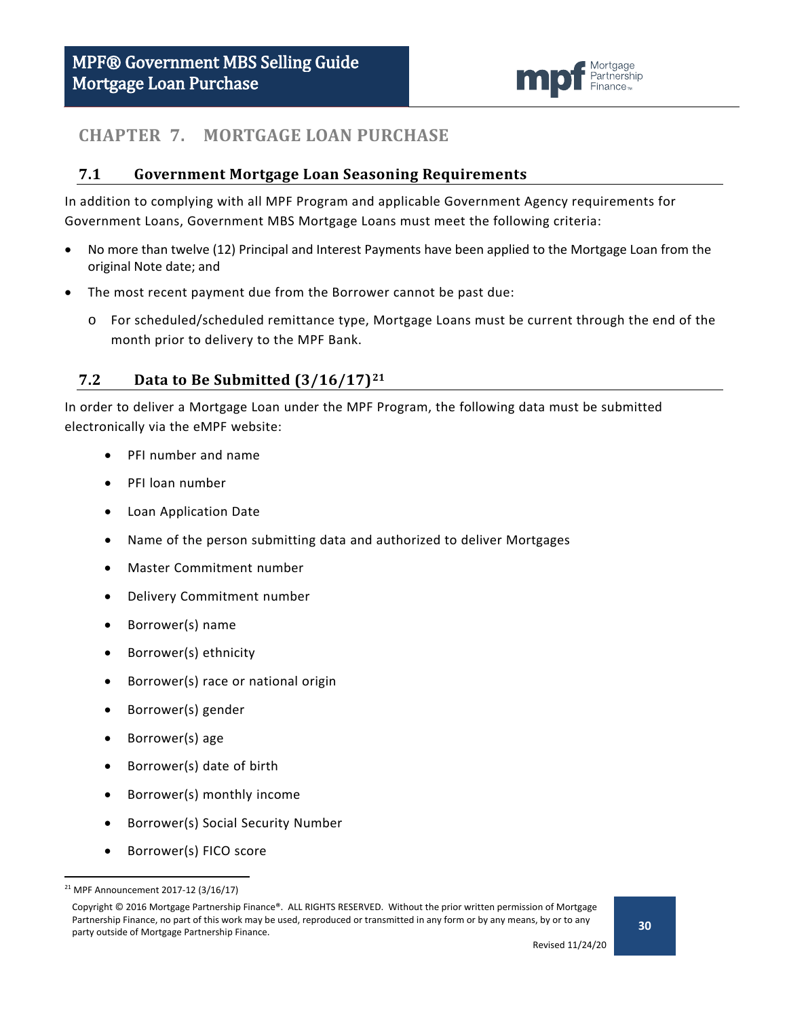![](_page_29_Picture_1.jpeg)

# <span id="page-29-0"></span>**CHAPTER 7. MORTGAGE LOAN PURCHASE**

#### <span id="page-29-1"></span>**7.1 Government Mortgage Loan Seasoning Requirements**

In addition to complying with all MPF Program and applicable Government Agency requirements for Government Loans, Government MBS Mortgage Loans must meet the following criteria:

- No more than twelve (12) Principal and Interest Payments have been applied to the Mortgage Loan from the original Note date; and
- The most recent payment due from the Borrower cannot be past due:
	- o For scheduled/scheduled remittance type, Mortgage Loans must be current through the end of the month prior to delivery to the MPF Bank.

### <span id="page-29-2"></span>**7.2 Data to Be Submitted (3/16/17)[21](#page-29-3)**

In order to deliver a Mortgage Loan under the MPF Program, the following data must be submitted electronically via the eMPF website:

- PFI number and name
- PFI loan number
- Loan Application Date
- Name of the person submitting data and authorized to deliver Mortgages
- Master Commitment number
- Delivery Commitment number
- Borrower(s) name
- Borrower(s) ethnicity
- Borrower(s) race or national origin
- Borrower(s) gender
- Borrower(s) age
- Borrower(s) date of birth
- Borrower(s) monthly income
- Borrower(s) Social Security Number
- Borrower(s) FICO score

<span id="page-29-3"></span> <sup>21</sup> MPF Announcement 2017-12 (3/16/17)

Copyright © 2016 Mortgage Partnership Finance®. ALL RIGHTS RESERVED. Without the prior written permission of Mortgage Partnership Finance, no part of this work may be used, reproduced or transmitted in any form or by any means, by or to any party outside of Mortgage Partnership Finance.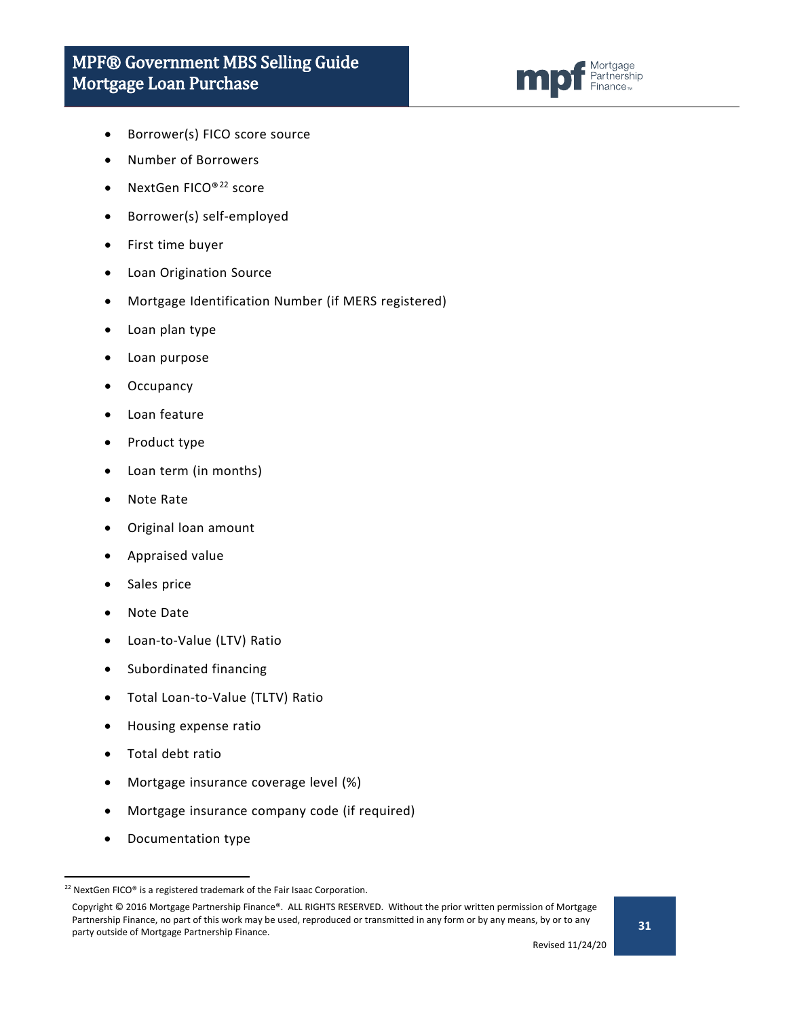![](_page_30_Picture_1.jpeg)

- Borrower(s) FICO score source
- Number of Borrowers
- NextGen FICO®[22](#page-30-0) score
- Borrower(s) self-employed
- First time buyer
- Loan Origination Source
- Mortgage Identification Number (if MERS registered)
- Loan plan type
- Loan purpose
- **Occupancy**
- Loan feature
- Product type
- Loan term (in months)
- Note Rate
- Original loan amount
- Appraised value
- Sales price
- Note Date
- Loan-to-Value (LTV) Ratio
- Subordinated financing
- Total Loan-to-Value (TLTV) Ratio
- Housing expense ratio
- Total debt ratio
- Mortgage insurance coverage level (%)
- Mortgage insurance company code (if required)
- Documentation type

<span id="page-30-0"></span><sup>&</sup>lt;sup>22</sup> NextGen FICO® is a registered trademark of the Fair Isaac Corporation.

Copyright © 2016 Mortgage Partnership Finance®. ALL RIGHTS RESERVED. Without the prior written permission of Mortgage Partnership Finance, no part of this work may be used, reproduced or transmitted in any form or by any means, by or to any party outside of Mortgage Partnership Finance.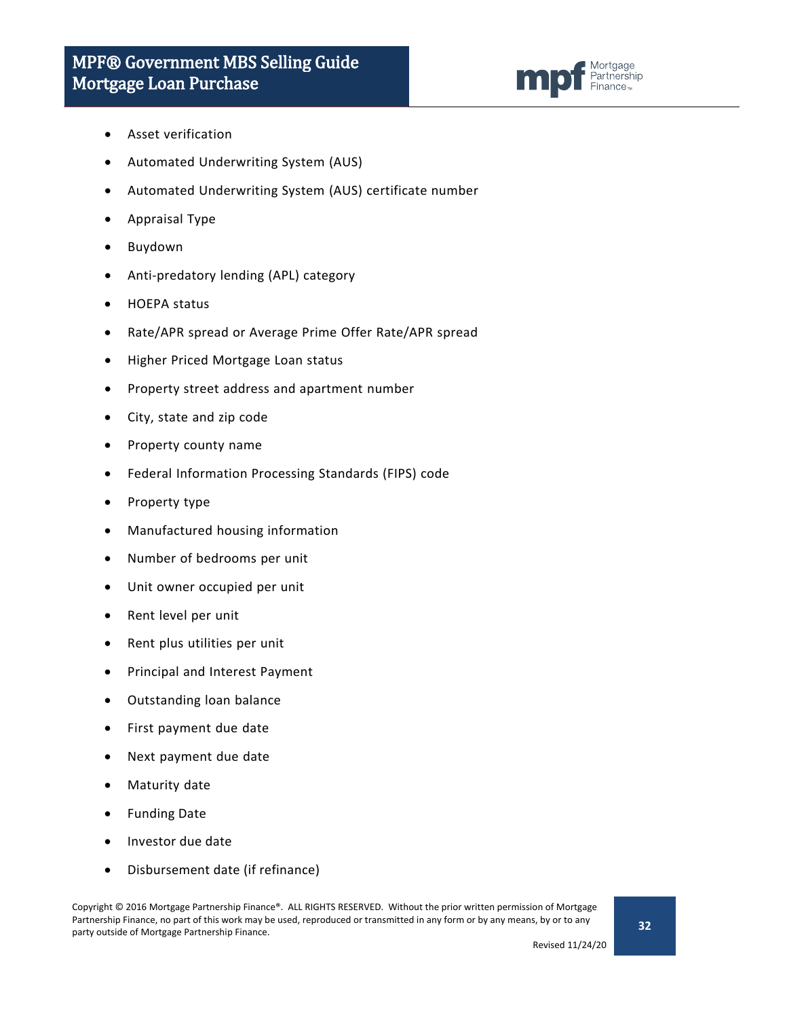![](_page_31_Picture_1.jpeg)

- Asset verification
- Automated Underwriting System (AUS)
- Automated Underwriting System (AUS) certificate number
- Appraisal Type
- Buydown
- Anti-predatory lending (APL) category
- HOEPA status
- Rate/APR spread or Average Prime Offer Rate/APR spread
- Higher Priced Mortgage Loan status
- Property street address and apartment number
- City, state and zip code
- Property county name
- Federal Information Processing Standards (FIPS) code
- Property type
- Manufactured housing information
- Number of bedrooms per unit
- Unit owner occupied per unit
- Rent level per unit
- Rent plus utilities per unit
- Principal and Interest Payment
- Outstanding loan balance
- First payment due date
- Next payment due date
- Maturity date
- Funding Date
- Investor due date
- Disbursement date (if refinance)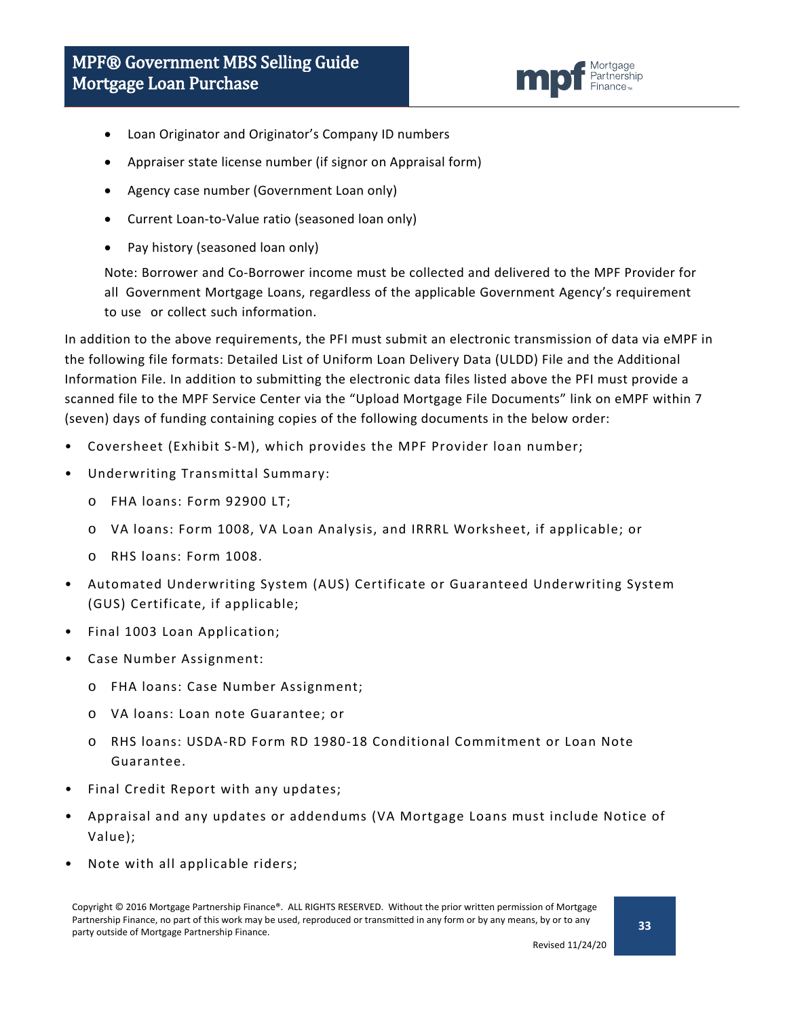![](_page_32_Picture_1.jpeg)

- Loan Originator and Originator's Company ID numbers
- Appraiser state license number (if signor on Appraisal form)
- Agency case number (Government Loan only)
- Current Loan-to-Value ratio (seasoned loan only)
- Pay history (seasoned loan only)

Note: Borrower and Co-Borrower income must be collected and delivered to the MPF Provider for all Government Mortgage Loans, regardless of the applicable Government Agency's requirement to use or collect such information.

In addition to the above requirements, the PFI must submit an electronic transmission of data via eMPF in the following file formats: Detailed List of Uniform Loan Delivery Data (ULDD) File and the Additional Information File. In addition to submitting the electronic data files listed above the PFI must provide a scanned file to the MPF Service Center via the "Upload Mortgage File Documents" link on eMPF within 7 (seven) days of funding containing copies of the following documents in the below order:

- Coversheet (Exhibit S-M), which provides the MPF Provider loan number;
- Underwriting Transmittal Summary:
	- o FHA loans: Form 92900 LT;
	- o VA loans: Form 1008, VA Loan Analysis, and IRRRL Worksheet, if applicable; or
	- o RHS loans: Form 1008.
- Automated Underwriting System (AUS) Certificate or Guaranteed Underwriting System (GUS) Certificate, if applicable;
- Final 1003 Loan Application;
- Case Number Assignment:
	- o FHA loans: Case Number Assignment;
	- o VA loans: Loan note Guarantee; or
	- o RHS loans: USDA-RD Form RD 1980-18 Conditional Commitment or Loan Note Guarantee.
- Final Credit Report with any updates;
- Appraisal and any updates or addendums (VA Mortgage Loans must include Notice of Value);
- Note with all applicable riders;

Copyright © 2016 Mortgage Partnership Finance®. ALL RIGHTS RESERVED. Without the prior written permission of Mortgage Partnership Finance, no part of this work may be used, reproduced or transmitted in any form or by any means, by or to any party outside of Mortgage Partnership Finance.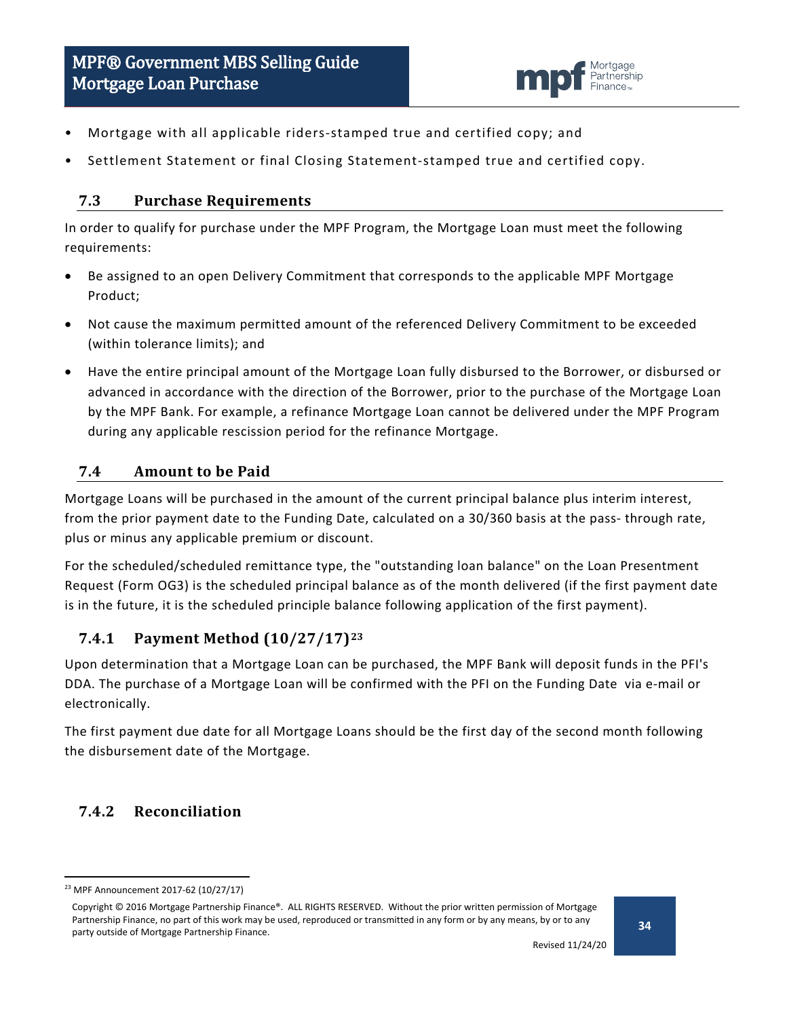![](_page_33_Picture_1.jpeg)

- Mortgage with all applicable riders-stamped true and certified copy; and
- Settlement Statement or final Closing Statement-stamped true and certified copy.

#### <span id="page-33-0"></span>**7.3 Purchase Requirements**

In order to qualify for purchase under the MPF Program, the Mortgage Loan must meet the following requirements:

- Be assigned to an open Delivery Commitment that corresponds to the applicable MPF Mortgage Product;
- Not cause the maximum permitted amount of the referenced Delivery Commitment to be exceeded (within tolerance limits); and
- Have the entire principal amount of the Mortgage Loan fully disbursed to the Borrower, or disbursed or advanced in accordance with the direction of the Borrower, prior to the purchase of the Mortgage Loan by the MPF Bank. For example, a refinance Mortgage Loan cannot be delivered under the MPF Program during any applicable rescission period for the refinance Mortgage.

### <span id="page-33-1"></span>**7.4 Amount to be Paid**

Mortgage Loans will be purchased in the amount of the current principal balance plus interim interest, from the prior payment date to the Funding Date, calculated on a 30/360 basis at the pass- through rate, plus or minus any applicable premium or discount.

For the scheduled/scheduled remittance type, the "outstanding loan balance" on the Loan Presentment Request (Form OG3) is the scheduled principal balance as of the month delivered (if the first payment date is in the future, it is the scheduled principle balance following application of the first payment).

### <span id="page-33-2"></span>**7.4.1 Payment Method (10/27/17)[23](#page-33-4)**

Upon determination that a Mortgage Loan can be purchased, the MPF Bank will deposit funds in the PFI's DDA. The purchase of a Mortgage Loan will be confirmed with the PFI on the Funding Date via e-mail or electronically.

The first payment due date for all Mortgage Loans should be the first day of the second month following the disbursement date of the Mortgage.

### <span id="page-33-3"></span>**7.4.2 Reconciliation**

<span id="page-33-4"></span> <sup>23</sup> MPF Announcement 2017-62 (10/27/17)

Copyright © 2016 Mortgage Partnership Finance®. ALL RIGHTS RESERVED. Without the prior written permission of Mortgage Partnership Finance, no part of this work may be used, reproduced or transmitted in any form or by any means, by or to any party outside of Mortgage Partnership Finance.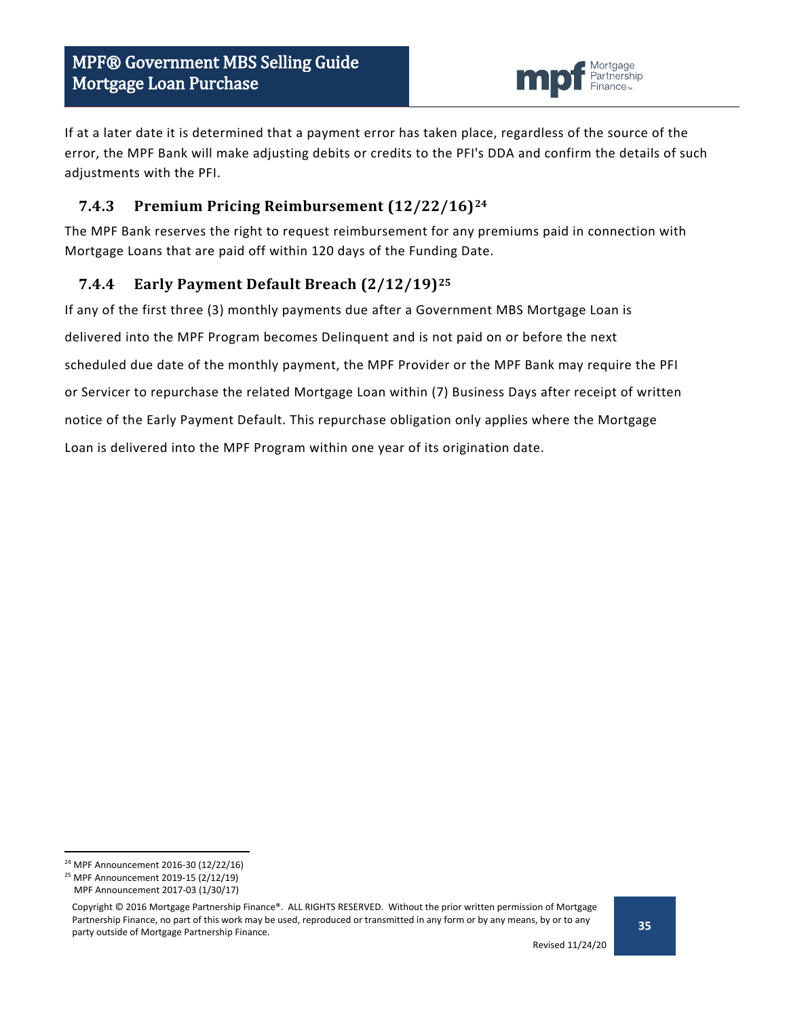![](_page_34_Picture_1.jpeg)

If at a later date it is determined that a payment error has taken place, regardless of the source of the error, the MPF Bank will make adjusting debits or credits to the PFI's DDA and confirm the details of such adjustments with the PFI.

### <span id="page-34-0"></span>**7.4.3 Premium Pricing Reimbursement (12/22/16)[24](#page-34-2)**

The MPF Bank reserves the right to request reimbursement for any premiums paid in connection with Mortgage Loans that are paid off within 120 days of the Funding Date.

### <span id="page-34-1"></span>**7.4.4 Early Payment Default Breach (2/12/19)[25](#page-34-3)**

If any of the first three (3) monthly payments due after a Government MBS Mortgage Loan is delivered into the MPF Program becomes Delinquent and is not paid on or before the next scheduled due date of the monthly payment, the MPF Provider or the MPF Bank may require the PFI or Servicer to repurchase the related Mortgage Loan within (7) Business Days after receipt of written notice of the Early Payment Default. This repurchase obligation only applies where the Mortgage Loan is delivered into the MPF Program within one year of its origination date.

<span id="page-34-2"></span> <sup>24</sup> MPF Announcement 2016-30 (12/22/16)

<span id="page-34-3"></span><sup>25</sup> MPF Announcement 2019-15 (2/12/19)

MPF Announcement 2017-03 (1/30/17)

Copyright © 2016 Mortgage Partnership Finance®. ALL RIGHTS RESERVED. Without the prior written permission of Mortgage Partnership Finance, no part of this work may be used, reproduced or transmitted in any form or by any means, by or to any party outside of Mortgage Partnership Finance.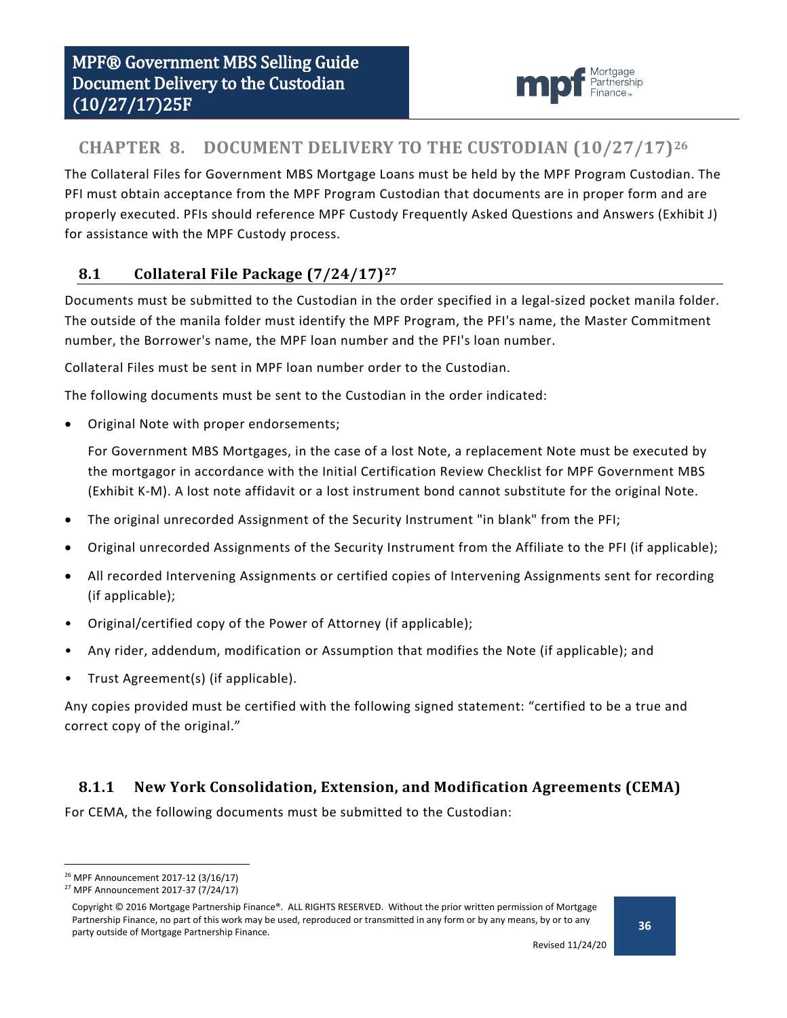![](_page_35_Picture_1.jpeg)

# <span id="page-35-0"></span>**CHAPTER 8. DOCUMENT DELIVERY TO THE CUSTODIAN (10/27/17)[26](#page-35-3)**

The Collateral Files for Government MBS Mortgage Loans must be held by the MPF Program Custodian. The PFI must obtain acceptance from the MPF Program Custodian that documents are in proper form and are properly executed. PFIs should reference MPF Custody Frequently Asked Questions and Answers (Exhibit J) for assistance with the MPF Custody process.

### <span id="page-35-1"></span>**8.1 Collateral File Package (7/24/17)[27](#page-35-4)**

Documents must be submitted to the Custodian in the order specified in a legal-sized pocket manila folder. The outside of the manila folder must identify the MPF Program, the PFI's name, the Master Commitment number, the Borrower's name, the MPF loan number and the PFI's loan number.

Collateral Files must be sent in MPF loan number order to the Custodian.

The following documents must be sent to the Custodian in the order indicated:

• Original Note with proper endorsements;

For Government MBS Mortgages, in the case of a lost Note, a replacement Note must be executed by the mortgagor in accordance with the Initial Certification Review Checklist for MPF Government MBS (Exhibit K-M). A lost note affidavit or a lost instrument bond cannot substitute for the original Note.

- The original unrecorded Assignment of the Security Instrument "in blank" from the PFI;
- Original unrecorded Assignments of the Security Instrument from the Affiliate to the PFI (if applicable);
- All recorded Intervening Assignments or certified copies of Intervening Assignments sent for recording (if applicable);
- Original/certified copy of the Power of Attorney (if applicable);
- Any rider, addendum, modification or Assumption that modifies the Note (if applicable); and
- Trust Agreement(s) (if applicable).

Any copies provided must be certified with the following signed statement: "certified to be a true and correct copy of the original."

### <span id="page-35-2"></span>**8.1.1 New York Consolidation, Extension, and Modification Agreements (CEMA)**

For CEMA, the following documents must be submitted to the Custodian:

<span id="page-35-3"></span> <sup>26</sup> MPF Announcement 2017-12 (3/16/17)

<span id="page-35-4"></span><sup>27</sup> MPF Announcement 2017-37 (7/24/17)

Copyright © 2016 Mortgage Partnership Finance®. ALL RIGHTS RESERVED. Without the prior written permission of Mortgage Partnership Finance, no part of this work may be used, reproduced or transmitted in any form or by any means, by or to any party outside of Mortgage Partnership Finance.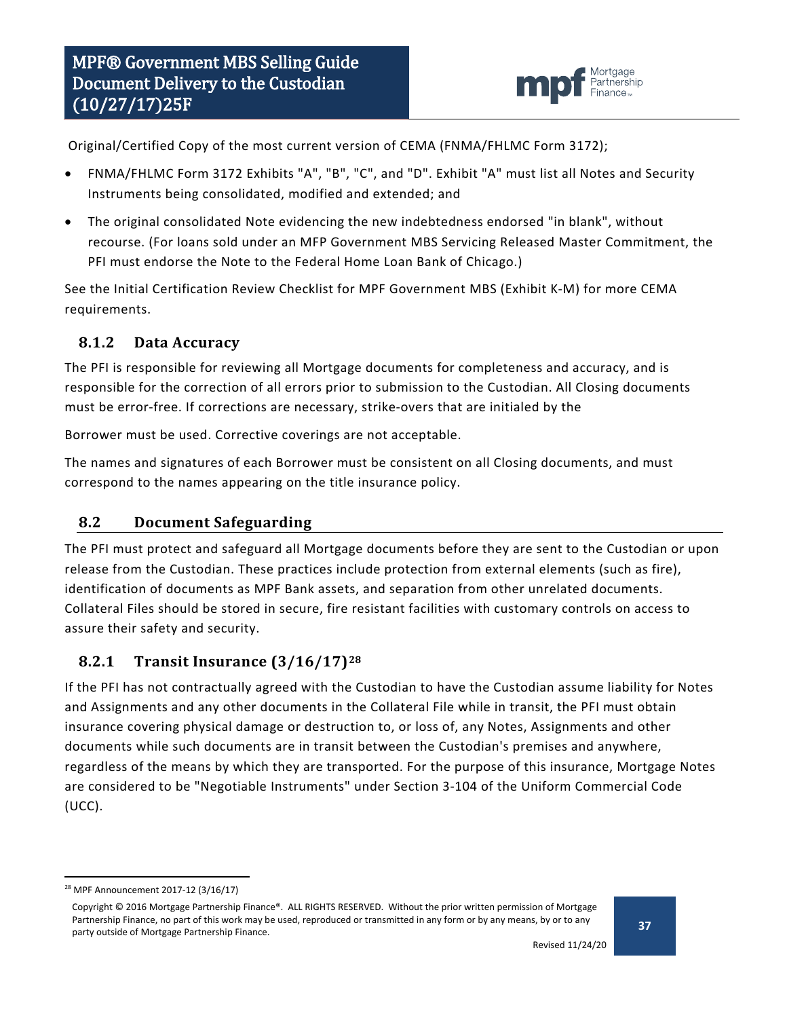![](_page_36_Picture_1.jpeg)

Original/Certified Copy of the most current version of CEMA (FNMA/FHLMC Form 3172);

- FNMA/FHLMC Form 3172 Exhibits "A", "B", "C", and "D". Exhibit "A" must list all Notes and Security Instruments being consolidated, modified and extended; and
- The original consolidated Note evidencing the new indebtedness endorsed "in blank", without recourse. (For loans sold under an MFP Government MBS Servicing Released Master Commitment, the PFI must endorse the Note to the Federal Home Loan Bank of Chicago.)

See the Initial Certification Review Checklist for MPF Government MBS (Exhibit K-M) for more CEMA requirements.

### <span id="page-36-0"></span>**8.1.2 Data Accuracy**

The PFI is responsible for reviewing all Mortgage documents for completeness and accuracy, and is responsible for the correction of all errors prior to submission to the Custodian. All Closing documents must be error-free. If corrections are necessary, strike-overs that are initialed by the

Borrower must be used. Corrective coverings are not acceptable.

The names and signatures of each Borrower must be consistent on all Closing documents, and must correspond to the names appearing on the title insurance policy.

### <span id="page-36-1"></span>**8.2 Document Safeguarding**

The PFI must protect and safeguard all Mortgage documents before they are sent to the Custodian or upon release from the Custodian. These practices include protection from external elements (such as fire), identification of documents as MPF Bank assets, and separation from other unrelated documents. Collateral Files should be stored in secure, fire resistant facilities with customary controls on access to assure their safety and security.

### <span id="page-36-2"></span>**8.2.1 Transit Insurance (3/16/17)[28](#page-36-3)**

If the PFI has not contractually agreed with the Custodian to have the Custodian assume liability for Notes and Assignments and any other documents in the Collateral File while in transit, the PFI must obtain insurance covering physical damage or destruction to, or loss of, any Notes, Assignments and other documents while such documents are in transit between the Custodian's premises and anywhere, regardless of the means by which they are transported. For the purpose of this insurance, Mortgage Notes are considered to be "Negotiable Instruments" under Section 3-104 of the Uniform Commercial Code (UCC).

<span id="page-36-3"></span> <sup>28</sup> MPF Announcement 2017-12 (3/16/17)

Copyright © 2016 Mortgage Partnership Finance®. ALL RIGHTS RESERVED. Without the prior written permission of Mortgage Partnership Finance, no part of this work may be used, reproduced or transmitted in any form or by any means, by or to any party outside of Mortgage Partnership Finance.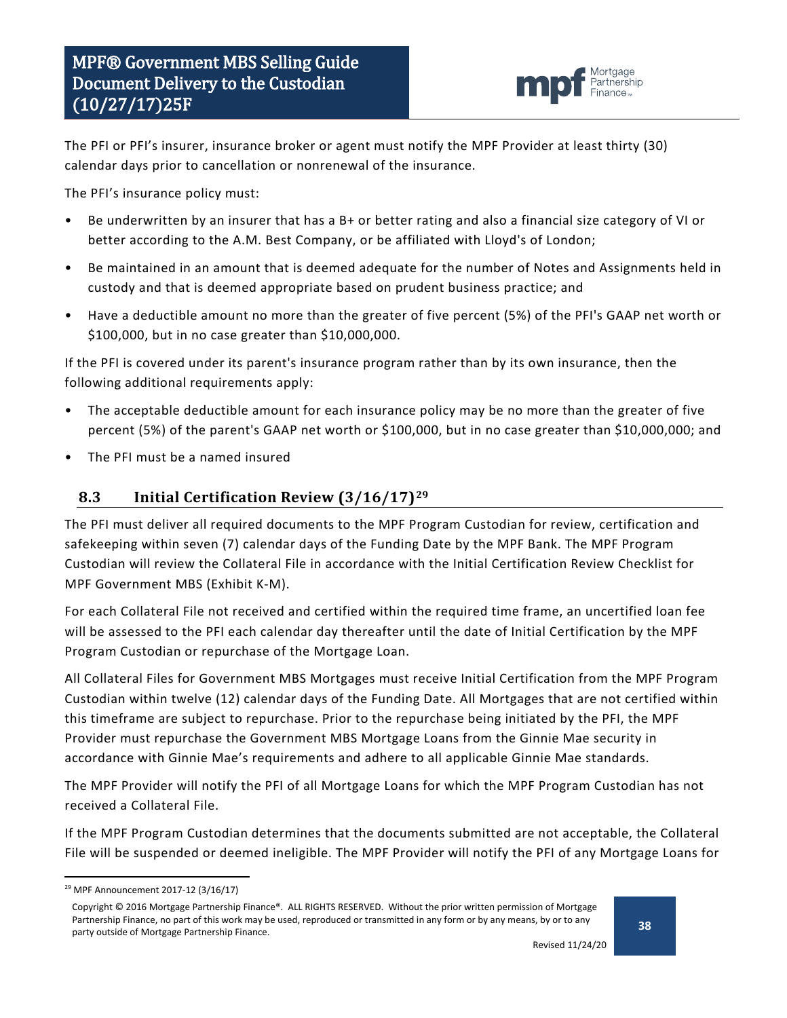![](_page_37_Picture_1.jpeg)

The PFI or PFI's insurer, insurance broker or agent must notify the MPF Provider at least thirty (30) calendar days prior to cancellation or nonrenewal of the insurance.

The PFI's insurance policy must:

- Be underwritten by an insurer that has a B+ or better rating and also a financial size category of VI or better according to the A.M. Best Company, or be affiliated with Lloyd's of London;
- Be maintained in an amount that is deemed adequate for the number of Notes and Assignments held in custody and that is deemed appropriate based on prudent business practice; and
- Have a deductible amount no more than the greater of five percent (5%) of the PFI's GAAP net worth or \$100,000, but in no case greater than \$10,000,000.

If the PFI is covered under its parent's insurance program rather than by its own insurance, then the following additional requirements apply:

- The acceptable deductible amount for each insurance policy may be no more than the greater of five percent (5%) of the parent's GAAP net worth or \$100,000, but in no case greater than \$10,000,000; and
- The PFI must be a named insured

#### <span id="page-37-0"></span>**8.3 Initial Certification Review (3/16/17)[29](#page-37-1)**

The PFI must deliver all required documents to the MPF Program Custodian for review, certification and safekeeping within seven (7) calendar days of the Funding Date by the MPF Bank. The MPF Program Custodian will review the Collateral File in accordance with the Initial Certification Review Checklist for MPF Government MBS (Exhibit K-M).

For each Collateral File not received and certified within the required time frame, an uncertified loan fee will be assessed to the PFI each calendar day thereafter until the date of Initial Certification by the MPF Program Custodian or repurchase of the Mortgage Loan.

All Collateral Files for Government MBS Mortgages must receive Initial Certification from the MPF Program Custodian within twelve (12) calendar days of the Funding Date. All Mortgages that are not certified within this timeframe are subject to repurchase. Prior to the repurchase being initiated by the PFI, the MPF Provider must repurchase the Government MBS Mortgage Loans from the Ginnie Mae security in accordance with Ginnie Mae's requirements and adhere to all applicable Ginnie Mae standards.

The MPF Provider will notify the PFI of all Mortgage Loans for which the MPF Program Custodian has not received a Collateral File.

If the MPF Program Custodian determines that the documents submitted are not acceptable, the Collateral File will be suspended or deemed ineligible. The MPF Provider will notify the PFI of any Mortgage Loans for

<span id="page-37-1"></span> <sup>29</sup> MPF Announcement 2017-12 (3/16/17)

Copyright © 2016 Mortgage Partnership Finance®. ALL RIGHTS RESERVED. Without the prior written permission of Mortgage Partnership Finance, no part of this work may be used, reproduced or transmitted in any form or by any means, by or to any party outside of Mortgage Partnership Finance.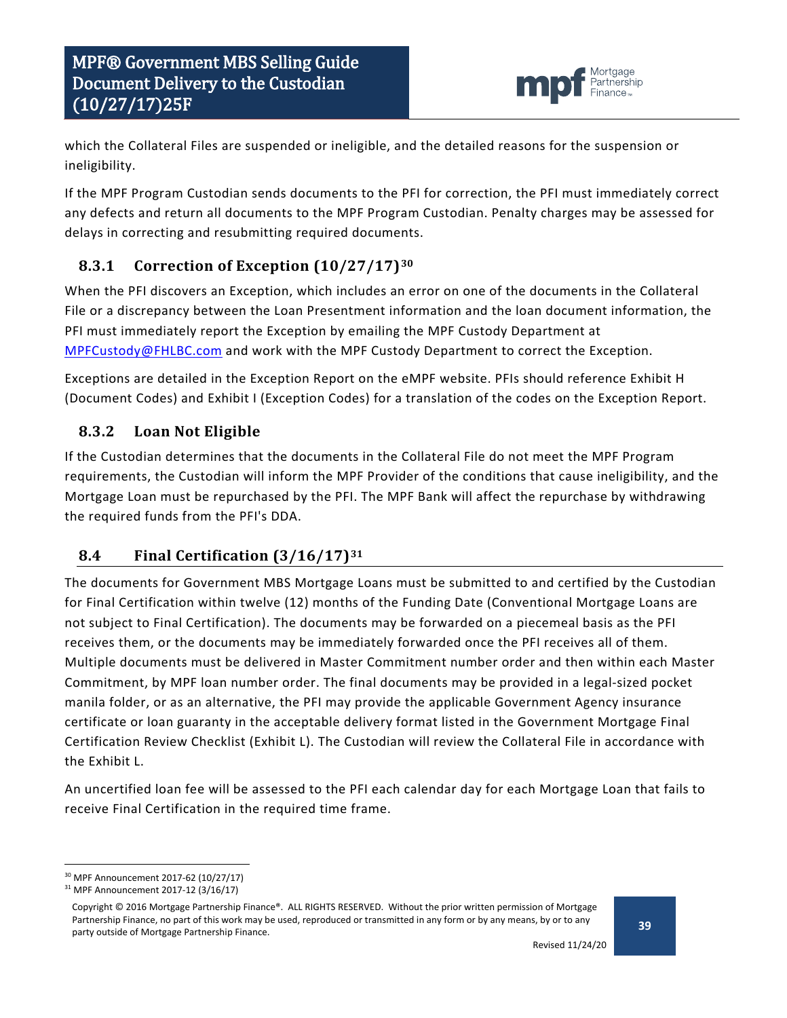![](_page_38_Picture_1.jpeg)

which the Collateral Files are suspended or ineligible, and the detailed reasons for the suspension or ineligibility.

If the MPF Program Custodian sends documents to the PFI for correction, the PFI must immediately correct any defects and return all documents to the MPF Program Custodian. Penalty charges may be assessed for delays in correcting and resubmitting required documents.

# <span id="page-38-0"></span>**8.3.1 Correction of Exception (10/27/17)[30](#page-38-3)**

When the PFI discovers an Exception, which includes an error on one of the documents in the Collateral File or a discrepancy between the Loan Presentment information and the loan document information, the PFI must immediately report the Exception by emailing the MPF Custody Department at [MPFCustody@FHLBC.com](mailto:MPFCustody@FHLBC.com) and work with the MPF Custody Department to correct the Exception.

Exceptions are detailed in the Exception Report on the eMPF website. PFIs should reference Exhibit H (Document Codes) and Exhibit I (Exception Codes) for a translation of the codes on the Exception Report.

# <span id="page-38-1"></span>**8.3.2 Loan Not Eligible**

If the Custodian determines that the documents in the Collateral File do not meet the MPF Program requirements, the Custodian will inform the MPF Provider of the conditions that cause ineligibility, and the Mortgage Loan must be repurchased by the PFI. The MPF Bank will affect the repurchase by withdrawing the required funds from the PFI's DDA.

# <span id="page-38-2"></span>**8.4 Final Certification (3/16/17)[31](#page-38-4)**

The documents for Government MBS Mortgage Loans must be submitted to and certified by the Custodian for Final Certification within twelve (12) months of the Funding Date (Conventional Mortgage Loans are not subject to Final Certification). The documents may be forwarded on a piecemeal basis as the PFI receives them, or the documents may be immediately forwarded once the PFI receives all of them. Multiple documents must be delivered in Master Commitment number order and then within each Master Commitment, by MPF loan number order. The final documents may be provided in a legal-sized pocket manila folder, or as an alternative, the PFI may provide the applicable Government Agency insurance certificate or loan guaranty in the acceptable delivery format listed in the Government Mortgage Final Certification Review Checklist (Exhibit L). The Custodian will review the Collateral File in accordance with the Exhibit L.

An uncertified loan fee will be assessed to the PFI each calendar day for each Mortgage Loan that fails to receive Final Certification in the required time frame.

<span id="page-38-3"></span> <sup>30</sup> MPF Announcement 2017-62 (10/27/17)

<span id="page-38-4"></span><sup>31</sup> MPF Announcement 2017-12 (3/16/17)

Copyright © 2016 Mortgage Partnership Finance®. ALL RIGHTS RESERVED. Without the prior written permission of Mortgage Partnership Finance, no part of this work may be used, reproduced or transmitted in any form or by any means, by or to any party outside of Mortgage Partnership Finance.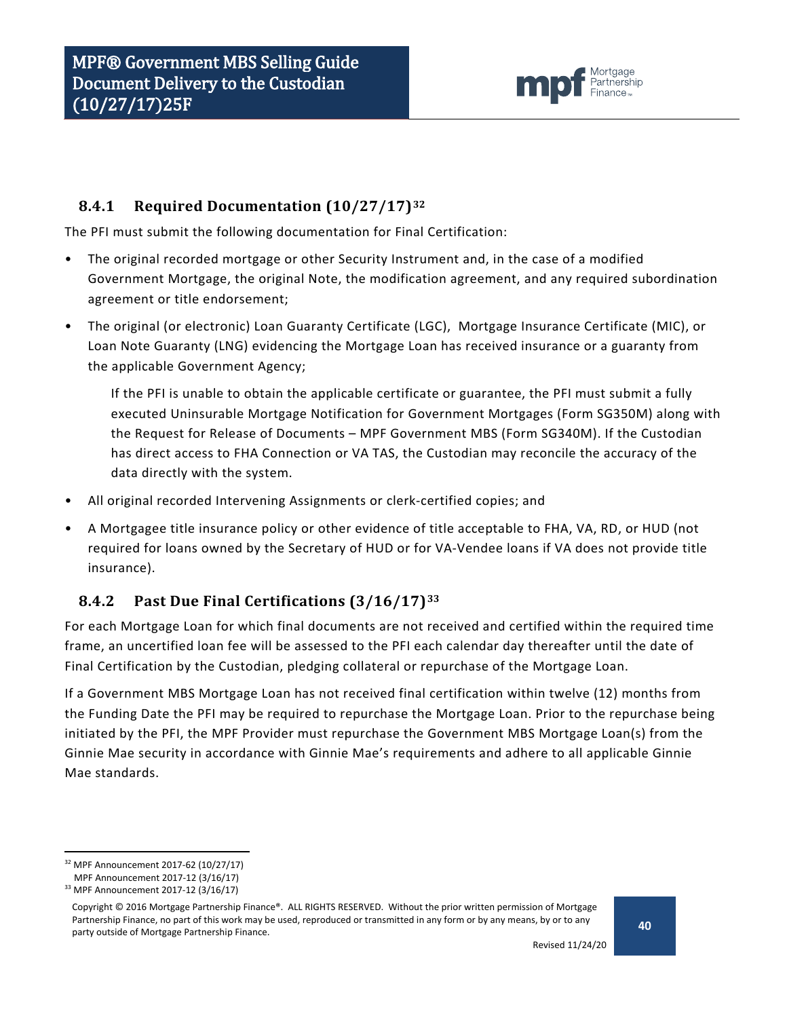![](_page_39_Picture_1.jpeg)

### <span id="page-39-0"></span>**8.4.1 Required Documentation (10/27/17)[32](#page-39-2)**

The PFI must submit the following documentation for Final Certification:

- The original recorded mortgage or other Security Instrument and, in the case of a modified Government Mortgage, the original Note, the modification agreement, and any required subordination agreement or title endorsement;
- The original (or electronic) Loan Guaranty Certificate (LGC), Mortgage Insurance Certificate (MIC), or Loan Note Guaranty (LNG) evidencing the Mortgage Loan has received insurance or a guaranty from the applicable Government Agency;

If the PFI is unable to obtain the applicable certificate or guarantee, the PFI must submit a fully executed Uninsurable Mortgage Notification for Government Mortgages (Form SG350M) along with the Request for Release of Documents – MPF Government MBS (Form SG340M). If the Custodian has direct access to FHA Connection or VA TAS, the Custodian may reconcile the accuracy of the data directly with the system.

- All original recorded Intervening Assignments or clerk-certified copies; and
- A Mortgagee title insurance policy or other evidence of title acceptable to FHA, VA, RD, or HUD (not required for loans owned by the Secretary of HUD or for VA-Vendee loans if VA does not provide title insurance).

# <span id="page-39-1"></span>**8.4.2 Past Due Final Certifications (3/16/17)[33](#page-39-3)**

For each Mortgage Loan for which final documents are not received and certified within the required time frame, an uncertified loan fee will be assessed to the PFI each calendar day thereafter until the date of Final Certification by the Custodian, pledging collateral or repurchase of the Mortgage Loan.

If a Government MBS Mortgage Loan has not received final certification within twelve (12) months from the Funding Date the PFI may be required to repurchase the Mortgage Loan. Prior to the repurchase being initiated by the PFI, the MPF Provider must repurchase the Government MBS Mortgage Loan(s) from the Ginnie Mae security in accordance with Ginnie Mae's requirements and adhere to all applicable Ginnie Mae standards.

<span id="page-39-2"></span> <sup>32</sup> MPF Announcement 2017-62 (10/27/17) MPF Announcement 2017-12 (3/16/17)

<span id="page-39-3"></span><sup>33</sup> MPF Announcement 2017-12 (3/16/17)

Copyright © 2016 Mortgage Partnership Finance®. ALL RIGHTS RESERVED. Without the prior written permission of Mortgage Partnership Finance, no part of this work may be used, reproduced or transmitted in any form or by any means, by or to any party outside of Mortgage Partnership Finance.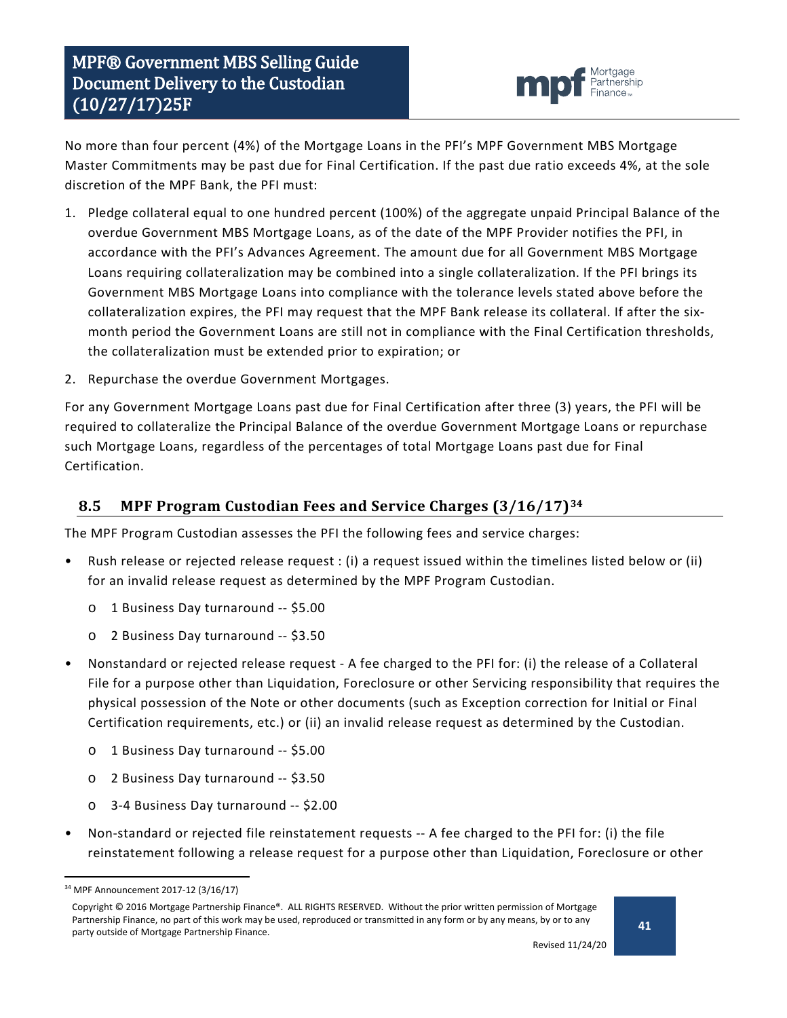![](_page_40_Picture_1.jpeg)

No more than four percent (4%) of the Mortgage Loans in the PFI's MPF Government MBS Mortgage Master Commitments may be past due for Final Certification. If the past due ratio exceeds 4%, at the sole discretion of the MPF Bank, the PFI must:

- 1. Pledge collateral equal to one hundred percent (100%) of the aggregate unpaid Principal Balance of the overdue Government MBS Mortgage Loans, as of the date of the MPF Provider notifies the PFI, in accordance with the PFI's Advances Agreement. The amount due for all Government MBS Mortgage Loans requiring collateralization may be combined into a single collateralization. If the PFI brings its Government MBS Mortgage Loans into compliance with the tolerance levels stated above before the collateralization expires, the PFI may request that the MPF Bank release its collateral. If after the sixmonth period the Government Loans are still not in compliance with the Final Certification thresholds, the collateralization must be extended prior to expiration; or
- 2. Repurchase the overdue Government Mortgages.

For any Government Mortgage Loans past due for Final Certification after three (3) years, the PFI will be required to collateralize the Principal Balance of the overdue Government Mortgage Loans or repurchase such Mortgage Loans, regardless of the percentages of total Mortgage Loans past due for Final Certification.

### <span id="page-40-0"></span>**8.5 MPF Program Custodian Fees and Service Charges (3/16/17)[34](#page-40-1)**

The MPF Program Custodian assesses the PFI the following fees and service charges:

- Rush release or rejected release request : (i) a request issued within the timelines listed below or (ii) for an invalid release request as determined by the MPF Program Custodian.
	- o 1 Business Day turnaround -- \$5.00
	- o 2 Business Day turnaround -- \$3.50
- Nonstandard or rejected release request A fee charged to the PFI for: (i) the release of a Collateral File for a purpose other than Liquidation, Foreclosure or other Servicing responsibility that requires the physical possession of the Note or other documents (such as Exception correction for Initial or Final Certification requirements, etc.) or (ii) an invalid release request as determined by the Custodian.
	- o 1 Business Day turnaround -- \$5.00
	- o 2 Business Day turnaround -- \$3.50
	- o 3-4 Business Day turnaround -- \$2.00
- Non-standard or rejected file reinstatement requests -- A fee charged to the PFI for: (i) the file reinstatement following a release request for a purpose other than Liquidation, Foreclosure or other

<span id="page-40-1"></span> <sup>34</sup> MPF Announcement 2017-12 (3/16/17)

Copyright © 2016 Mortgage Partnership Finance®. ALL RIGHTS RESERVED. Without the prior written permission of Mortgage Partnership Finance, no part of this work may be used, reproduced or transmitted in any form or by any means, by or to any party outside of Mortgage Partnership Finance.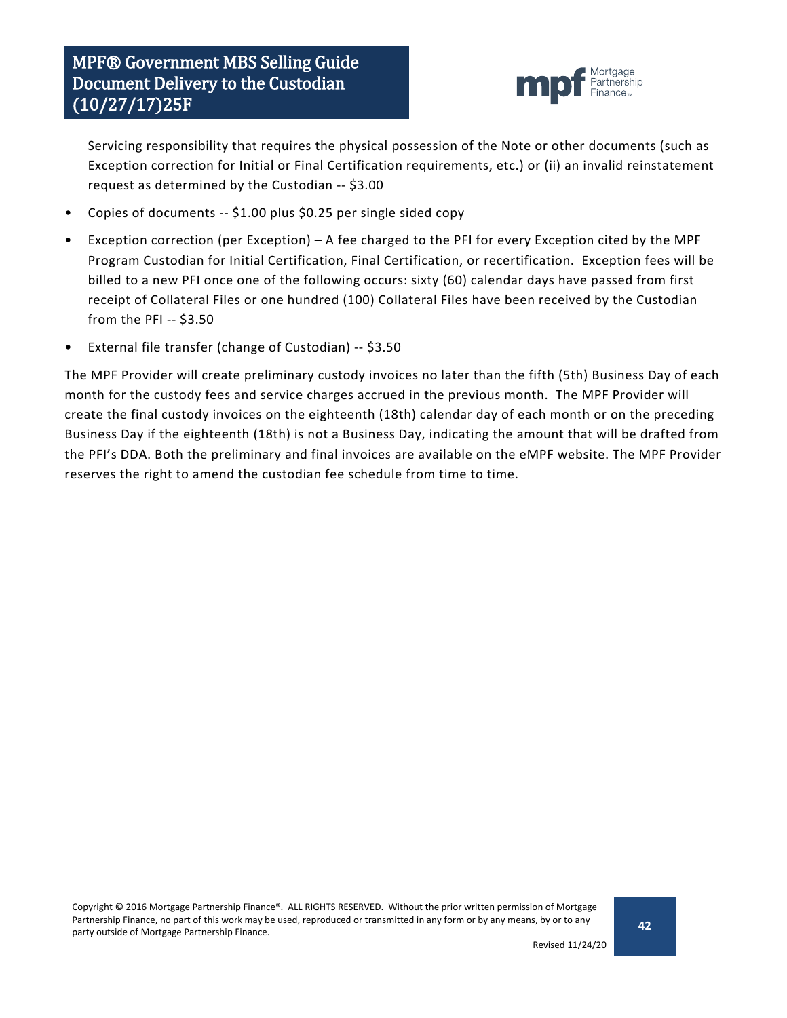![](_page_41_Picture_1.jpeg)

Servicing responsibility that requires the physical possession of the Note or other documents (such as Exception correction for Initial or Final Certification requirements, etc.) or (ii) an invalid reinstatement request as determined by the Custodian -- \$3.00

- Copies of documents -- \$1.00 plus \$0.25 per single sided copy
- Exception correction (per Exception) A fee charged to the PFI for every Exception cited by the MPF Program Custodian for Initial Certification, Final Certification, or recertification. Exception fees will be billed to a new PFI once one of the following occurs: sixty (60) calendar days have passed from first receipt of Collateral Files or one hundred (100) Collateral Files have been received by the Custodian from the PFI -- \$3.50
- External file transfer (change of Custodian) -- \$3.50

The MPF Provider will create preliminary custody invoices no later than the fifth (5th) Business Day of each month for the custody fees and service charges accrued in the previous month. The MPF Provider will create the final custody invoices on the eighteenth (18th) calendar day of each month or on the preceding Business Day if the eighteenth (18th) is not a Business Day, indicating the amount that will be drafted from the PFI's DDA. Both the preliminary and final invoices are available on the eMPF website. The MPF Provider reserves the right to amend the custodian fee schedule from time to time.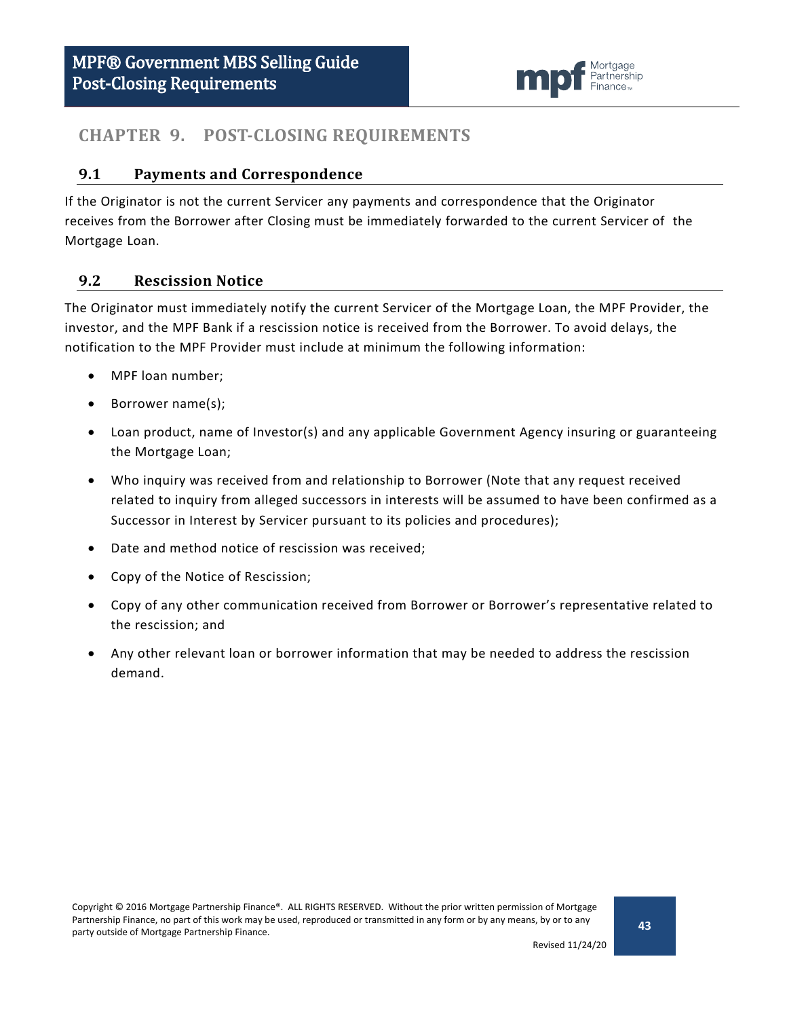![](_page_42_Picture_1.jpeg)

### <span id="page-42-0"></span>**CHAPTER 9. POST-CLOSING REQUIREMENTS**

#### <span id="page-42-1"></span>**9.1 Payments and Correspondence**

If the Originator is not the current Servicer any payments and correspondence that the Originator receives from the Borrower after Closing must be immediately forwarded to the current Servicer of the Mortgage Loan.

#### <span id="page-42-2"></span>**9.2 Rescission Notice**

The Originator must immediately notify the current Servicer of the Mortgage Loan, the MPF Provider, the investor, and the MPF Bank if a rescission notice is received from the Borrower. To avoid delays, the notification to the MPF Provider must include at minimum the following information:

- MPF loan number;
- Borrower name(s);
- Loan product, name of Investor(s) and any applicable Government Agency insuring or guaranteeing the Mortgage Loan;
- Who inquiry was received from and relationship to Borrower (Note that any request received related to inquiry from alleged successors in interests will be assumed to have been confirmed as a Successor in Interest by Servicer pursuant to its policies and procedures);
- Date and method notice of rescission was received;
- Copy of the Notice of Rescission;
- Copy of any other communication received from Borrower or Borrower's representative related to the rescission; and
- Any other relevant loan or borrower information that may be needed to address the rescission demand.